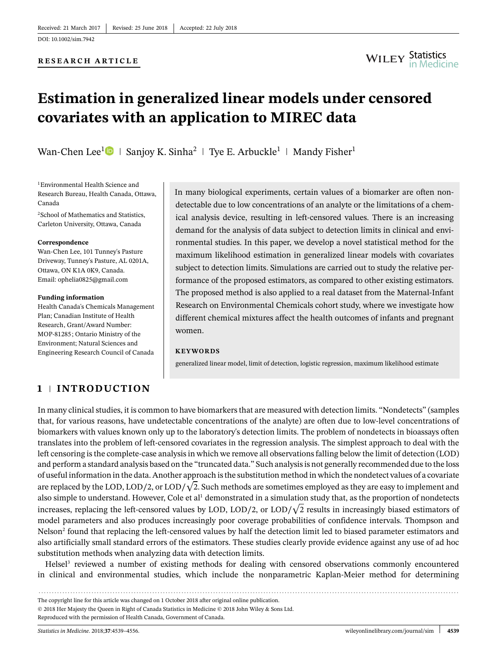## **RESEARCH ARTICLE**

# **WILEY Statistics**<br>in Medicine

## **Estimation in generalized linear models under censored covariates with an application to MIREC data**

Wan-Chen Lee<sup>[1](http://orcid.org/0000-0002-8798-5695)</sup> Sanjoy K. Sinha<sup>2</sup> | Tye E. Arbuckle<sup>1</sup> | Mandy Fisher<sup>1</sup>

1Environmental Health Science and Research Bureau, Health Canada, Ottawa, Canada

2School of Mathematics and Statistics, Carleton University, Ottawa, Canada

#### **Correspondence**

Wan-Chen Lee, 101 Tunney's Pasture Driveway, Tunney's Pasture, AL 0201A, Ottawa, ON K1A 0K9, Canada. Email: ophelia0825@gmail.com

#### **Funding information**

Health Canada's Chemicals Management Plan; Canadian Institute of Health Research, Grant/Award Number: MOP-81285; Ontario Ministry of the Environment; Natural Sciences and Engineering Research Council of Canada

In many biological experiments, certain values of a biomarker are often nondetectable due to low concentrations of an analyte or the limitations of a chemical analysis device, resulting in left-censored values. There is an increasing demand for the analysis of data subject to detection limits in clinical and environmental studies. In this paper, we develop a novel statistical method for the maximum likelihood estimation in generalized linear models with covariates subject to detection limits. Simulations are carried out to study the relative performance of the proposed estimators, as compared to other existing estimators. The proposed method is also applied to a real dataset from the Maternal-Infant Research on Environmental Chemicals cohort study, where we investigate how different chemical mixtures affect the health outcomes of infants and pregnant women.

#### **KEYWORDS**

generalized linear model, limit of detection, logistic regression, maximum likelihood estimate

## **1 INTRODUCTION**

In many clinical studies, it is common to have biomarkers that are measured with detection limits. "Nondetects" (samples that, for various reasons, have undetectable concentrations of the analyte) are often due to low-level concentrations of biomarkers with values known only up to the laboratory's detection limits. The problem of nondetects in bioassays often translates into the problem of left-censored covariates in the regression analysis. The simplest approach to deal with the left censoring is the complete-case analysis in which we remove all observations falling below the limit of detection (LOD) and perform a standard analysis based on the "truncated data." Such analysis is not generally recommended due to the loss of useful information in the data. Another approach is the substitution method in which the nondetect values of a covariate are replaced by the LOD, LOD/2, or LOD/ $\sqrt{2}$ . Such methods are sometimes employed as they are easy to implement and also simple to understand. However, Cole et al<sup>1</sup> demonstrated in a simulation study that, as the proportion of nondetects increases, replacing the left-censored values by LOD, LOD/2, or LOD/ $\sqrt{2}$  results in increasingly biased estimators of model parameters and also produces increasingly poor coverage probabilities of confidence intervals. Thompson and Nelson<sup>2</sup> found that replacing the left-censored values by half the detection limit led to biased parameter estimators and also artificially small standard errors of the estimators. These studies clearly provide evidence against any use of ad hoc substitution methods when analyzing data with detection limits.

Helse[l3](#page-14-2) reviewed a number of existing methods for dealing with censored observations commonly encountered in clinical and environmental studies, which include the nonparametric Kaplan-Meier method for determining

*<sup>...........................................</sup> ............................................ ........................................ ................................* The copyright line for this article was changed on 1 October 2018 after original online publication. © 2018 Her Majesty the Queen in Right of Canada Statistics in Medicine © 2018 John Wiley & Sons Ltd. Reproduced with the permission of Health Canada, Government of Canada.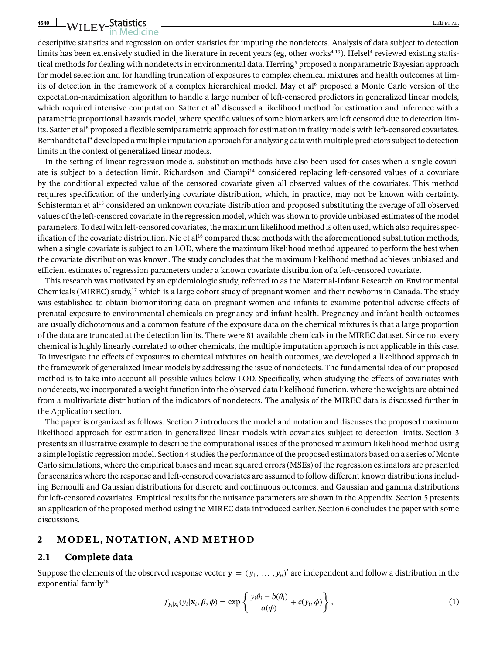## **4540 WILEY-Statistics** LEE ET AL.

descriptive statistics and regression on order statistics for imputing the nondetects. Analysis of data subject to detection limits has been extensively studied in the literature in recent years (eg, other works $4-13$ ). Helsel $4$  reviewed existing statistical methods for dealing with nondetects in environmental data. Herring<sup>5</sup> proposed a nonparametric Bayesian approach for model selection and for handling truncation of exposures to complex chemical mixtures and health outcomes at limits of detection in the framework of a complex hierarchical model. May et al<sup>6</sup> proposed a Monte Carlo version of the expectation-maximization algorithm to handle a large number of left-censored predictors in generalized linear models, which required intensive computation. Satter et al<sup>7</sup> discussed a likelihood method for estimation and inference with a parametric proportional hazards model, where specific values of some biomarkers are left censored due to detection limits. Satter et al<sup>8</sup> proposed a flexible semiparametric approach for estimation in frailty models with left-censored covariates. Bernhardt et al<sup>9</sup> developed a multiple imputation approach for analyzing data with multiple predictors subject to detection limits in the context of generalized linear models.

In the setting of linear regression models, substitution methods have also been used for cases when a single covariate is subject to a detection limit. Richardson and Ciampi<sup>14</sup> considered replacing left-censored values of a covariate by the conditional expected value of the censored covariate given all observed values of the covariates. This method requires specification of the underlying covariate distribution, which, in practice, may not be known with certainty. Schisterman et al<sup>15</sup> considered an unknown covariate distribution and proposed substituting the average of all observed values of the left-censored covariate in the regression model, which was shown to provide unbiased estimates of the model parameters. To deal with left-censored covariates, the maximum likelihood method is often used, which also requires specification of the covariate distribution. Nie et  $al^{16}$  compared these methods with the aforementioned substitution methods, when a single covariate is subject to an LOD, where the maximum likelihood method appeared to perform the best when the covariate distribution was known. The study concludes that the maximum likelihood method achieves unbiased and efficient estimates of regression parameters under a known covariate distribution of a left-censored covariate.

This research was motivated by an epidemiologic study, referred to as the Maternal-Infant Research on Environmental Chemicals (MIREC) study[,17](#page-14-13) which is a large cohort study of pregnant women and their newborns in Canada. The study was established to obtain biomonitoring data on pregnant women and infants to examine potential adverse effects of prenatal exposure to environmental chemicals on pregnancy and infant health. Pregnancy and infant health outcomes are usually dichotomous and a common feature of the exposure data on the chemical mixtures is that a large proportion of the data are truncated at the detection limits. There were 81 available chemicals in the MIREC dataset. Since not every chemical is highly linearly correlated to other chemicals, the multiple imputation approach is not applicable in this case. To investigate the effects of exposures to chemical mixtures on health outcomes, we developed a likelihood approach in the framework of generalized linear models by addressing the issue of nondetects. The fundamental idea of our proposed method is to take into account all possible values below LOD. Specifically, when studying the effects of covariates with nondetects, we incorporated a weight function into the observed data likelihood function, where the weights are obtained from a multivariate distribution of the indicators of nondetects. The analysis of the MIREC data is discussed further in the Application section.

The paper is organized as follows. Section 2 introduces the model and notation and discusses the proposed maximum likelihood approach for estimation in generalized linear models with covariates subject to detection limits. Section 3 presents an illustrative example to describe the computational issues of the proposed maximum likelihood method using a simple logistic regression model. Section 4 studies the performance of the proposed estimators based on a series of Monte Carlo simulations, where the empirical biases and mean squared errors (MSEs) of the regression estimators are presented for scenarios where the response and left-censored covariates are assumed to follow different known distributions including Bernoulli and Gaussian distributions for discrete and continuous outcomes, and Gaussian and gamma distributions for left-censored covariates. Empirical results for the nuisance parameters are shown in the Appendix. Section 5 presents an application of the proposed method using the MIREC data introduced earlier. Section 6 concludes the paper with some discussions.

### **2 MODEL, NOTATION, AND METHOD**

#### **2.1 Complete data**

Suppose the elements of the observed response vector  $y = (y_1, \dots, y_n)'$  are independent and follow a distribution in the exponential family<sup>18</sup>

<span id="page-1-0"></span>
$$
f_{y_i|x_i}(y_i|\mathbf{x}_i,\boldsymbol{\beta},\boldsymbol{\phi}) = \exp\left\{\frac{y_i\theta_i - b(\theta_i)}{a(\boldsymbol{\phi})} + c(y_i,\boldsymbol{\phi})\right\},\tag{1}
$$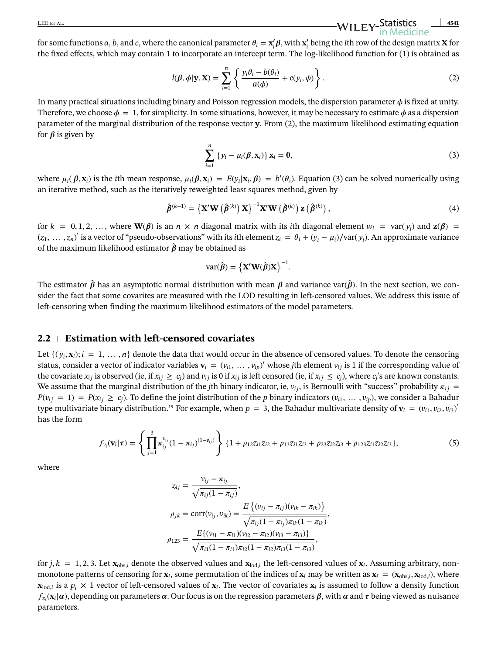## for some functions *a*, *b*, and *c*, where the canonical parameter  $\theta_i = \mathbf{x}'_i \boldsymbol{\beta}$ , with  $\mathbf{x}'_i$  being the *i*th row of the design matrix **X** for the fixed effects, which may contain 1 to incorporate an intercept term. The log-likelihood function for [\(1\)](#page-1-0) is obtained as

$$
l(\boldsymbol{\beta}, \boldsymbol{\phi} | \mathbf{y}, \mathbf{X}) = \sum_{i=1}^{n} \left\{ \frac{y_i \theta_i - b(\theta_i)}{a(\boldsymbol{\phi})} + c(y_i, \boldsymbol{\phi}) \right\}.
$$
 (2)

<span id="page-2-1"></span>In many practical situations including binary and Poisson regression models, the dispersion parameter  $\phi$  is fixed at unity. Therefore, we choose  $\phi = 1$ , for simplicity. In some situations, however, it may be necessary to estimate  $\phi$  as a dispersion parameter of the marginal distribution of the response vector **y**. From [\(2\)](#page-2-0), the maximum likelihood estimating equation for  $\beta$  is given by

<span id="page-2-0"></span>
$$
\sum_{i=1}^{n} \{y_i - \mu_i(\beta, \mathbf{x}_i)\} \mathbf{x}_i = \mathbf{0},
$$
\n(3)

where  $\mu_i(\beta, \mathbf{x}_i)$  is the *i*th mean response,  $\mu_i(\beta, \mathbf{x}_i) = E(y_i|\mathbf{x}_i, \beta) = b'(\theta_i)$ . Equation [\(3\)](#page-2-1) can be solved numerically using an iterative method, such as the iteratively reweighted least squares method, given by

$$
\hat{\boldsymbol{\beta}}^{(k+1)} = \left\{ \mathbf{X}' \mathbf{W} \left( \hat{\boldsymbol{\beta}}^{(k)} \right) \mathbf{X} \right\}^{-1} \mathbf{X}' \mathbf{W} \left( \hat{\boldsymbol{\beta}}^{(k)} \right) \mathbf{z} \left( \hat{\boldsymbol{\beta}}^{(k)} \right), \tag{4}
$$

for  $k = 0, 1, 2, \ldots$ , where  $\mathbf{W}(\boldsymbol{\beta})$  is an  $n \times n$  diagonal matrix with its *i*th diagonal element  $w_i = \text{var}(y_i)$  and  $\mathbf{z}(\boldsymbol{\beta}) =$  $(z_1, ..., z_n)'$  is a vector of "pseudo-observations" with its *i*th element  $z_i = \theta_i + (y_i - \mu_i) / \text{var}(y_i)$ . An approximate variance of the maximum likelihood estimator  $\hat{\beta}$  may be obtained as

$$
var(\hat{\boldsymbol{\beta}}) = \left\{ \mathbf{X}' \mathbf{W}(\hat{\boldsymbol{\beta}}) \mathbf{X} \right\}^{-1}.
$$

The estimator  $\hat{\beta}$  has an asymptotic normal distribution with mean  $\beta$  and variance var( $\hat{\beta}$ ). In the next section, we consider the fact that some covarites are measured with the LOD resulting in left-censored values. We address this issue of left-censoring when finding the maximum likelihood estimators of the model parameters.

### **2.2 Estimation with left-censored covariates**

Let  $\{(y_i, x_i); i = 1, \ldots, n\}$  denote the data that would occur in the absence of censored values. To denote the censoring status, consider a vector of indicator variables  $v_i = (v_{i1}, \dots, v_{ip})'$  whose *j*th element  $v_{ij}$  is 1 if the corresponding value of the covariate  $x_{ij}$  is observed (ie, if  $x_{ij} \ge c_j$ ) and  $v_{ij}$  is 0 if  $x_{ij}$  is left censored (ie, if  $x_{ij} \le c_j$ ), where  $c_j$ 's are known constants. We assume that the marginal distribution of the *j*th binary indicator, ie,  $v_{ij}$ , is Bernoulli with "success" probability  $\pi_{ij}$  =  $P(v_{ij} = 1) = P(x_{ij} \ge c_j)$ . To define the joint distribution of the *p* binary indicators  $(v_{i1}, \ldots, v_{ip})$ , we consider a Bahadur type multivariate binary distribution.<sup>19</sup> For example, when  $p = 3$ , the Bahadur multivariate density of  $v_i = (v_{i1}, v_{i2}, v_{i3})'$ has the form

$$
f_{\nu_i}(\mathbf{v}_i|\boldsymbol{\tau}) = \left\{ \prod_{j=1}^3 \pi_{ij}^{\nu_{ij}} (1 - \pi_{ij})^{(1 - \nu_{ij})} \right\} \{1 + \rho_{12} z_{i1} z_{i2} + \rho_{13} z_{i1} z_{i3} + \rho_{23} z_{i2} z_{i3} + \rho_{123} z_{i1} z_{i2} z_{i3} \},
$$
\n(5)

where

$$
z_{ij} = \frac{v_{ij} - \pi_{ij}}{\sqrt{\pi_{ij}(1 - \pi_{ij})}},
$$
  
\n
$$
\rho_{jk} = \text{corr}(v_{ij}, v_{ik}) = \frac{E\left\{(v_{ij} - \pi_{ij})(v_{ik} - \pi_{ik})\right\}}{\sqrt{\pi_{ij}(1 - \pi_{ij})\pi_{ik}(1 - \pi_{ik})}},
$$
  
\n
$$
\rho_{123} = \frac{E\{(v_{i1} - \pi_{i1})(v_{i2} - \pi_{i2})(v_{i3} - \pi_{i3})\}}{\sqrt{\pi_{i1}(1 - \pi_{i1})\pi_{i2}(1 - \pi_{i2})\pi_{i3}(1 - \pi_{i3})}},
$$

for  $j, k = 1, 2, 3$ . Let  $\mathbf{x}_{obs,i}$  denote the observed values and  $\mathbf{x}_{lod,i}$  the left-censored values of  $\mathbf{x}_i$ . Assuming arbitrary, nonmonotone patterns of censoring for  $\mathbf{x}_i$ , some permutation of the indices of  $\mathbf{x}_i$  may be written as  $\mathbf{x}_i = (\mathbf{x}_{obs,i}, \mathbf{x}_{lod,i})$ , where  $\mathbf{x}_{\text{lod},i}$  is a  $p_i \times 1$  vector of left-censored values of  $\mathbf{x}_i$ . The vector of covariates  $\mathbf{x}_i$  is assumed to follow a density function  $f_{x_i}(\mathbf{x}_i|\boldsymbol{\alpha})$ , depending on parameters  $\boldsymbol{\alpha}$ . Our focus is on the regression parameters  $\boldsymbol{\beta}$ , with  $\boldsymbol{\alpha}$  and  $\boldsymbol{\tau}$  being viewed as nuisance parameters.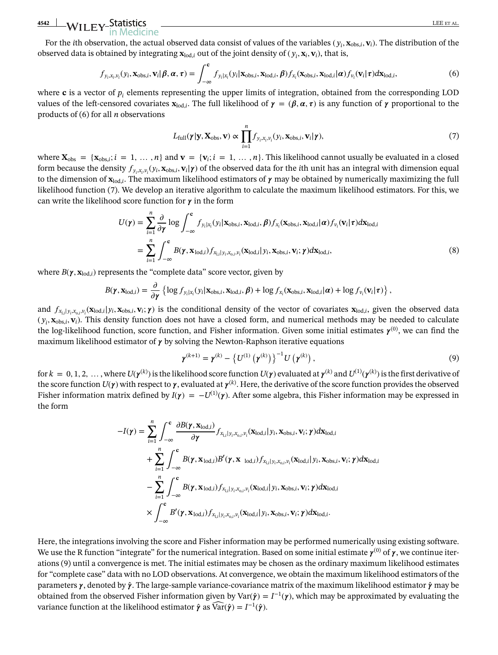## **4542 WILEY-Statistics** LEE ET AL.

For the *i*th observation, the actual observed data consist of values of the variables ( $y_i$ ,  $\mathbf{x}_{obs}$ ,  $\mathbf{v}_i$ ). The distribution of the observed data is obtained by integrating  $\mathbf{x}_{\text{lod},i}$  out of the joint density of  $(y_i, \mathbf{x}_i, \mathbf{v}_i)$ , that is,

$$
f_{y_i,x_i,v_i}(y_i,\mathbf{x}_{\text{obs},i},\mathbf{v}_i|\boldsymbol{\beta},\boldsymbol{\alpha},\boldsymbol{\tau}) = \int_{-\infty}^{\mathbf{c}} f_{y_i|x_i}(y_i|\mathbf{x}_{\text{obs},i},\mathbf{x}_{\text{lod},i},\boldsymbol{\beta}) f_{x_i}(\mathbf{x}_{\text{obs},i},\mathbf{x}_{\text{lod},i}|\boldsymbol{\alpha}) f_{v_i}(\mathbf{v}_i|\boldsymbol{\tau}) d\mathbf{x}_{\text{lod},i},\tag{6}
$$

where **c** is a vector of  $p_i$  elements representing the upper limits of integration, obtained from the corresponding LOD values of the left-censored covariates  $\mathbf{x}_{\text{lod},i}$ . The full likelihood of  $\gamma = (\beta, \alpha, \tau)$  is any function of  $\gamma$  proportional to the products of [\(6\)](#page-3-0) for all *n* observations

<span id="page-3-1"></span><span id="page-3-0"></span>
$$
L_{\text{full}}(\boldsymbol{\gamma}|\mathbf{y},\mathbf{X}_{\text{obs}},\mathbf{v}) \propto \prod_{i=1}^{n} f_{y_i,x_i,v_i}(y_i,\mathbf{x}_{\text{obs},i},\mathbf{v}_i|\boldsymbol{\gamma}),
$$
\n(7)

where  $X_{obs} = \{X_{obs,i}; i = 1, ..., n\}$  and  $v = \{v_i; i = 1, ..., n\}$ . This likelihood cannot usually be evaluated in a closed form because the density  $f_{y_i,x_i,y_i}(y_i, \mathbf{x}_{obs,i}, \mathbf{v}_i | \mathbf{y})$  of the observed data for the *i*th unit has an integral with dimension equal to the *i*th a final setting of a setting the *s* is the *final* setting the final to the dimension of  $\mathbf{x}_{\text{lod},i}$ . The maximum likelihood estimators of  $\gamma$  may be obtained by numerically maximizing the full likelihood function [\(7\)](#page-3-1). We develop an iterative algorithm to calculate the maximum likelihood estimators. For this, we can write the likelihood score function for  $\gamma$  in the form

$$
U(\gamma) = \sum_{i=1}^{n} \frac{\partial}{\partial \gamma} \log \int_{-\infty}^{c} f_{y_i | x_i}(y_i | \mathbf{x}_{\text{obs}, i}, \mathbf{x}_{\text{lod}, i}, \beta) f_{x_i}(\mathbf{x}_{\text{obs}, i}, \mathbf{x}_{\text{lod}, i} | \alpha) f_{v_i}(\mathbf{v}_i | \tau) d\mathbf{x}_{\text{lod}, i}
$$
  
= 
$$
\sum_{i=1}^{n} \int_{-\infty}^{c} B(\gamma, \mathbf{x}_{\text{lod}, i}) f_{x_{\text{ls}} | y_i, x_{\text{ol}, i}, v_i}(\mathbf{x}_{\text{lod}, i} | y_i, \mathbf{x}_{\text{obs}, i}, \mathbf{v}_i; \gamma) d\mathbf{x}_{\text{lod}, i},
$$
 (8)

where  $B(\gamma, \mathbf{x}_{\text{lod},i})$  represents the "complete data" score vector, given by

$$
B(\boldsymbol{\gamma}, \mathbf{x}_{\text{lod},i}) = \frac{\partial}{\partial \boldsymbol{\gamma}} \left\{ \log f_{y_i | x_i}(y_i | \mathbf{x}_{\text{obs},i}, \mathbf{x}_{\text{lod},i}, \boldsymbol{\beta}) + \log f_{x_i}(\mathbf{x}_{\text{obs},i}, \mathbf{x}_{\text{lod},i} | \boldsymbol{\alpha}) + \log f_{y_i}(\mathbf{v}_i | \boldsymbol{\tau}) \right\},
$$

and  $f_{x_{1i}|y_i,x_{0,i}y_i}(\mathbf{x}_{\text{lod},i}|y_i,\mathbf{x}_{\text{obs},i},\mathbf{v}_i;\boldsymbol{\gamma})$  is the conditional density of the vector of covariates  $\mathbf{x}_{\text{lod},i}$ , given the observed data  $(y_i, \mathbf{x}_{obs,i}, \mathbf{v}_i)$ . This density function does not have a closed form, and numerical methods may be needed to calculate the log-likelihood function, score function, and Fisher information. Given some initial estimates  $\gamma^{(0)}$ , we can find the maximum likelihood estimator of  $\gamma$  by solving the Newton-Raphson iterative equations

<span id="page-3-3"></span><span id="page-3-2"></span>
$$
\gamma^{(k+1)} = \gamma^{(k)} - \left\{ U^{(1)}\left(\gamma^{(k)}\right) \right\}^{-1} U\left(\gamma^{(k)}\right),\tag{9}
$$

for  $k = 0,1,2,\ldots$  , where  $U(\pmb{y}^{(k)})$  is the likelihood score function  $U(\pmb{y})$  evaluated at  $\pmb{y}^{(k)}$  and  $U^{(1)}(\pmb{y}^{(k)})$  is the first derivative of the score function  $U(\gamma)$  with respect to  $\gamma$ , evaluated at  $\gamma^{(k)}$ . Here, the derivative of the score function provides the observed Fisher information matrix defined by  $I(\gamma) = -U^{(1)}(\gamma)$ . After some algebra, this Fisher information may be expressed in the form

$$
-I(\gamma) = \sum_{i=1}^{n} \int_{-\infty}^{c} \frac{\partial B(\gamma, \mathbf{x}_{\text{lod},i})}{\partial \gamma} f_{x_{i,i} | y_i, x_{0,i}, v_i}(\mathbf{x}_{\text{lod},i} | y_i, \mathbf{x}_{\text{obs},i}, \mathbf{v}_i; \gamma) d\mathbf{x}_{\text{lod},i}
$$
  
+ 
$$
\sum_{i=1}^{n} \int_{-\infty}^{c} B(\gamma, \mathbf{x}_{\text{lod},i}) B'(\gamma, \mathbf{x}_{\text{ lod},i}) f_{x_{i,i} | y_i, x_{0,i}, v_i}(\mathbf{x}_{\text{lod},i} | y_i, \mathbf{x}_{\text{obs},i}, \mathbf{v}_i; \gamma) d\mathbf{x}_{\text{lod},i}
$$
  
- 
$$
\sum_{i=1}^{n} \int_{-\infty}^{c} B(\gamma, \mathbf{x}_{\text{lod},i}) f_{x_{i,i} | y_i, x_{0,i}, v_i}(\mathbf{x}_{\text{lod},i} | y_i, \mathbf{x}_{\text{obs},i}, \mathbf{v}_i; \gamma) d\mathbf{x}_{\text{lod},i}
$$
  
× 
$$
\int_{-\infty}^{c} B'(\gamma, \mathbf{x}_{\text{lod},i}) f_{x_{i,i} | y_i, x_{0,i}, v_i}(\mathbf{x}_{\text{lod},i} | y_i, \mathbf{x}_{\text{obs},i}, \mathbf{v}_i; \gamma) d\mathbf{x}_{\text{lod},i}.
$$

Here, the integrations involving the score and Fisher information may be performed numerically using existing software. We use the R function "integrate" for the numerical integration. Based on some initial estimate  $\gamma^{(0)}$  of  $\gamma$ , we continue iterations [\(9\)](#page-3-2) until a convergence is met. The initial estimates may be chosen as the ordinary maximum likelihood estimates for "complete case" data with no LOD observations. At convergence, we obtain the maximum likelihood estimators of the parameters  $\gamma$ , denoted by  $\hat{\gamma}$ . The large-sample variance-covariance matrix of the maximum likelihood estimator  $\hat{\gamma}$  may be obtained from the observed Fisher information given by Var( $\hat{\gamma}$ ) =  $I^{-1}(\gamma)$ , which may be approximated by evaluating the variance function at the likelihood estimator  $\hat{\gamma}$  as  $\widehat{\text{Var}}(\hat{\gamma}) = I^{-1}(\hat{\gamma})$ .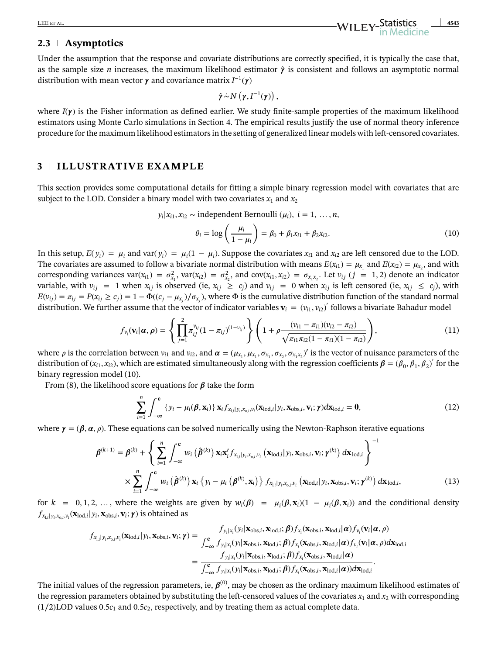## **2.3 Asymptotics**

Under the assumption that the response and covariate distributions are correctly specified, it is typically the case that, as the sample size *n* increases, the maximum likelihood estimator  $\hat{r}$  is consistent and follows an asymptotic normal distribution with mean vector  $\pmb{\gamma}$  and covariance matrix  $I^{-1}(\pmb{\gamma})$ 

<span id="page-4-0"></span>
$$
\hat{\pmb{\gamma}} \dot{\sim} N\left(\pmb{\gamma}, I^{-1}(\pmb{\gamma})\right),
$$

where  $I(\gamma)$  is the Fisher information as defined earlier. We study finite-sample properties of the maximum likelihood estimators using Monte Carlo simulations in Section 4. The empirical results justify the use of normal theory inference procedure for the maximum likelihood estimators in the setting of generalized linear models with left-censored covariates.

### **3 ILLUSTRATIVE EXAMPLE**

This section provides some computational details for fitting a simple binary regression model with covariates that are subject to the LOD. Consider a binary model with two covariates  $x_1$  and  $x_2$ 

$$
y_i | x_{i1}, x_{i2} \sim \text{independent Bernoulli } (\mu_i), \ i = 1, \dots, n,
$$

$$
\theta_i = \log \left( \frac{\mu_i}{1 - \mu_i} \right) = \beta_0 + \beta_1 x_{i1} + \beta_2 x_{i2}.
$$
 (10)

In this setup,  $E(y_i) = \mu_i$  and var( $y_i$ ) =  $\mu_i(1 - \mu_i)$ . Suppose the covariates  $x_{i1}$  and  $x_{i2}$  are left censored due to the LOD. The covariates are assumed to follow a bivariate normal distribution with means  $E(x_{i1}) = \mu_x$ , and  $E(x_{i2}) = \mu_x$ , and with corresponding variances  $var(x_{i1}) = \sigma_{x_1}^2$ ,  $var(x_{i2}) = \sigma_{x_2}^2$ , and  $cov(x_{i1}, x_{i2}) = \sigma_{x_1x_2}$ . Let  $v_{ij}$  (*j* = 1, 2) denote an indicator variable, with  $v_{ij} = 1$  when  $x_{ij}$  is observed (ie,  $x_{ij} \ge c_j$ ) and  $v_{ij} = 0$  when  $x_{ij}$  is left censored (ie,  $x_{ij} \le c_j$ ), with  $E(v_{ij}) = \pi_{ij} = P(x_{ij} \ge c_j) = 1 - \Phi((c_j - \mu_{x_i})/\sigma_{x_i})$ , where  $\Phi$  is the cumulative distribution function of the standard normal distribution. We further assume that the vector of indicator variables  $v_i = (v_{i1}, v_{i2})'$  follows a bivariate Bahadur model

$$
f_{\nu_i}(\mathbf{v}_i|\boldsymbol{\alpha},\boldsymbol{\rho}) = \left\{ \prod_{j=1}^2 \pi_{ij}^{\nu_{ij}} (1-\pi_{ij})^{(1-\nu_{ij})} \right\} \left( 1 + \rho \frac{(\nu_{i1} - \pi_{i1})(\nu_{i2} - \pi_{i2})}{\sqrt{\pi_{i1}\pi_{i2}(1-\pi_{i1})(1-\pi_{i2})}} \right),
$$
(11)

where  $\rho$  is the correlation between  $v_{i1}$  and  $v_{i2}$ , and  $\alpha = (\mu_{x_1}, \mu_{x_1}, \sigma_{x_1}, \sigma_{x_2}, \sigma_{x_1x_2})'$  is the vector of nuisance parameters of the distribution of  $(x_{i1}, x_{i2})$ , which are estimated simultaneously along with the regression coefficients  $\beta = (\beta_0, \beta_1, \beta_2)'$  for the binary regression model [\(10\)](#page-4-0).

From [\(8\)](#page-3-3), the likelihood score equations for  $\beta$  take the form

<span id="page-4-1"></span>
$$
\sum_{i=1}^{n} \int_{-\infty}^{c} \left\{ y_i - \mu_i(\boldsymbol{\beta}, \mathbf{x}_i) \right\} \mathbf{x}_i f_{x_{i,i} | y_i, x_{o,i}, v_i}(\mathbf{x}_{\text{lod},i} | y_i, \mathbf{x}_{\text{obs},i}, \mathbf{v}_i; \boldsymbol{\gamma}) d\mathbf{x}_{\text{lod},i} = \mathbf{0},
$$
\n(12)

where  $\gamma = (\beta, \alpha, \rho)$ . These equations can be solved numerically using the Newton-Raphson iterative equations

$$
\beta^{(k+1)} = \beta^{(k)} + \left\{ \sum_{i=1}^{n} \int_{-\infty}^{c} w_i \left( \hat{\beta}^{(k)} \right) \mathbf{x}_i \mathbf{x}'_i f_{x_{i,i} | y_i, x_{o,i}, v_i} \left( \mathbf{x}_{\text{lod},i} | y_i, \mathbf{x}_{\text{obs},i}, \mathbf{v}_i; \boldsymbol{\gamma}^{(k)} \right) d\mathbf{x}_{\text{lod},i} \right\}^{-1} \times \sum_{i=1}^{n} \int_{-\infty}^{c} w_i \left( \hat{\beta}^{(k)} \right) \mathbf{x}_i \left\{ y_i - \mu_i \left( \beta^{(k)}, \mathbf{x}_i \right) \right\} f_{x_{i,i} | y_i, x_{o,i}, v_i} \left( \mathbf{x}_{\text{lod},i} | y_i, \mathbf{x}_{\text{obs},i}, \mathbf{v}_i; \boldsymbol{\gamma}^{(k)} \right) d\mathbf{x}_{\text{lod},i}, \tag{13}
$$

for  $k = 0, 1, 2, \ldots$ , where the weights are given by  $w_i(\beta) = \mu_i(\beta, x_i)(1 - \mu_i(\beta, x_i))$  and the conditional density  $f_{x_{i,i}|y_i,x_{o,i},v_i}(\mathbf{x}_{\text{lod},i}|y_i,\mathbf{x}_{\text{obs},i},\mathbf{v}_i;\boldsymbol{\gamma})$  is obtained as

$$
f_{x_{i,l}|y_i,x_{0,i},v_i}(\mathbf{x}_{\text{lod},i}|y_i,\mathbf{x}_{\text{obs},i},\mathbf{v}_i;\boldsymbol{\gamma}) = \frac{f_{y_i|x_i}(y_i|\mathbf{x}_{\text{obs},i},\mathbf{x}_{\text{lod},i};\boldsymbol{\beta})f_{x_i}(\mathbf{x}_{\text{obs},i},\mathbf{x}_{\text{lod},i}|\boldsymbol{\alpha})f_{v_i}(\mathbf{v}_i|\boldsymbol{\alpha},\boldsymbol{\rho})}{\int_{-\infty}^{\mathbf{c}} f_{y_i|x_i}(y_i|\mathbf{x}_{\text{obs},i},\mathbf{x}_{\text{lod},i};\boldsymbol{\beta})f_{x_i}(\mathbf{x}_{\text{obs},i},\mathbf{x}_{\text{lod},i}|\boldsymbol{\alpha})f_{v_i}(\mathbf{v}_i|\boldsymbol{\alpha},\boldsymbol{\rho})d\mathbf{x}_{\text{lod},i}} = \frac{f_{y_i|x_i}(y_i|\mathbf{x}_{\text{obs},i},\mathbf{x}_{\text{lod},i};\boldsymbol{\beta})f_{x_i}(\mathbf{x}_{\text{obs},i},\mathbf{x}_{\text{lod},i}|\boldsymbol{\alpha})}{\int_{-\infty}^{\mathbf{c}} f_{y_i|x_i}(y_i|\mathbf{x}_{\text{obs},i},\mathbf{x}_{\text{lod},i};\boldsymbol{\beta})f_{x_i}(\mathbf{x}_{\text{obs},i},\mathbf{x}_{\text{lod},i}|\boldsymbol{\alpha}))d\mathbf{x}_{\text{lod},i}}.
$$

The initial values of the regression parameters, ie,  $\beta^{(0)}$ , may be chosen as the ordinary maximum likelihood estimates of the regression parameters obtained by substituting the left-censored values of the covariates  $x_1$  and  $x_2$  with corresponding (1∕2)LOD values 0*.*5*c*<sup>1</sup> and 0*.*5*c*2, respectively, and by treating them as actual complete data.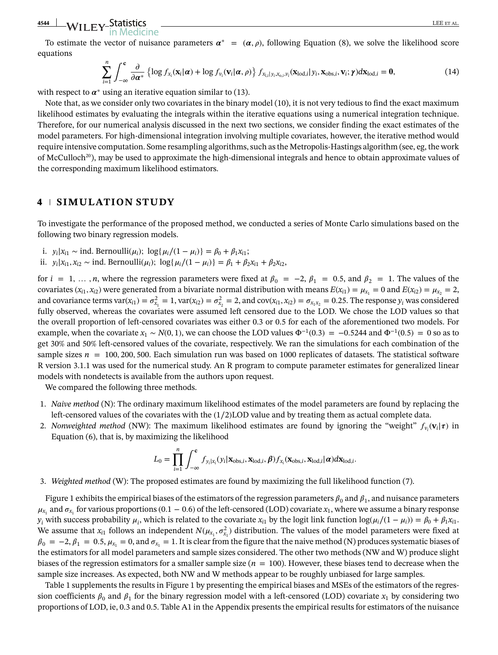To estimate the vector of nuisance parameters  $\alpha^* = (\alpha, \rho)$ , following Equation [\(8\)](#page-3-3), we solve the likelihood score equations

$$
\sum_{i=1}^{n} \int_{-\infty}^{c} \frac{\partial}{\partial \alpha^{*}} \left\{ \log f_{x_{i}}(\mathbf{x}_{i} | \alpha) + \log f_{v_{i}}(\mathbf{v}_{i} | \alpha, \rho) \right\} f_{x_{i,i} | y_{i}, x_{o,i}, v_{i}}(\mathbf{x}_{\text{lod},i} | y_{i}, \mathbf{x}_{\text{obs},i}, \mathbf{v}_{i}; \gamma) d\mathbf{x}_{\text{lod},i} = \mathbf{0},
$$
\n(14)

with respect to  $\alpha^*$  using an iterative equation similar to [\(13\)](#page-4-1).

Note that, as we consider only two covariates in the binary model [\(10\)](#page-4-0), it is not very tedious to find the exact maximum likelihood estimates by evaluating the integrals within the iterative equations using a numerical integration technique. Therefore, for our numerical analysis discussed in the next two sections, we consider finding the exact estimates of the model parameters. For high-dimensional integration involving multiple covariates, however, the iterative method would require intensive computation. Some resampling algorithms, such as the Metropolis-Hastings algorithm (see, eg, the work of McCulloch<sup>20</sup>), may be used to approximate the high-dimensional integrals and hence to obtain approximate values of the corresponding maximum likelihood estimators.

## **4 SIMULATION STUDY**

To investigate the performance of the proposed method, we conducted a series of Monte Carlo simulations based on the following two binary regression models.

- i. *y<sub>i</sub>*| $x_{i1}$  ∼ ind. Bernoulli( $\mu_i$ ); log{ $\mu_i/(1 \mu_i)$ } =  $\beta_0 + \beta_1 x_{i1}$ ;
- ii. *y*<sub>i</sub>| $x_{i1}$ ,  $x_{i2}$  ∼ ind. Bernoulli( $\mu_i$ ); log{ $\mu_i/(1 \mu_i)$ } =  $\beta_1 + \beta_2 x_{i1} + \beta_2 x_{i2}$ ,

for  $i = 1, \ldots, n$ , where the regression parameters were fixed at  $\beta_0 = -2, \beta_1 = 0.5$ , and  $\beta_2 = 1$ . The values of the covariates  $(x_{i1}, x_{i2})$  were generated from a bivariate normal distribution with means  $E(x_{i1}) = \mu_{x_i} = 0$  and  $E(x_{i2}) = \mu_{x_2} = 2$ , and covariance terms  $var(x_{i1}) = \sigma_{x_1}^2 = 1$ ,  $var(x_{i2}) = \sigma_{x_2}^2 = 2$ , and  $cov(x_{i1}, x_{i2}) = \sigma_{x_1x_2} = 0.25$ . The response  $y_i$  was considered fully observed, whereas the covariates were assumed left censored due to the LOD. We chose the LOD values so that the overall proportion of left-censored covariates was either 0.3 or 0.5 for each of the aforementioned two models. For example, when the covariate  $x_1 \sim N(0, 1)$ , we can choose the LOD values  $\Phi^{-1}(0.3) = -0.5244$  and  $\Phi^{-1}(0.5) = 0$  so as to get 30% and 50% left-censored values of the covariate, respectively. We ran the simulations for each combination of the sample sizes  $n = 100, 200, 500$ . Each simulation run was based on 1000 replicates of datasets. The statistical software R version 3.1.1 was used for the numerical study. An R program to compute parameter estimates for generalized linear models with nondetects is available from the authors upon request.

We compared the following three methods.

- 1. *Naive method* (N): The ordinary maximum likelihood estimates of the model parameters are found by replacing the left-censored values of the covariates with the (1∕2)LOD value and by treating them as actual complete data.
- 2. *Nonweighted method* (NW): The maximum likelihood estimates are found by ignoring the "weight"  $f_{\nu_i}(\mathbf{v}_i|\tau)$  in Equation [\(6\)](#page-3-0), that is, by maximizing the likelihood

$$
L_0 = \prod_{i=1}^n \int_{-\infty}^{\mathbf{c}} f_{y_i|x_i}(y_i|\mathbf{x}_{\text{obs},i}, \mathbf{x}_{\text{lod},i}, \boldsymbol{\beta}) f_{x_i}(\mathbf{x}_{\text{obs},i}, \mathbf{x}_{\text{lod},i}|\boldsymbol{\alpha}) d\mathbf{x}_{\text{lod},i}.
$$

3. *Weighted method* (W): The proposed estimates are found by maximizing the full likelihood function [\(7\)](#page-3-1).

Figure [1](#page-6-0) exhibits the empirical biases of the estimators of the regression parameters  $\beta_0$  and  $\beta_1$ , and nuisance parameters  $\mu_{x_1}$  and  $\sigma_{x_1}$  for various proportions (0.1 – 0.6) of the left-censored (LOD) covariate  $x_1$ , where we assume a binary response *y<sub>i</sub>* with success probability  $\mu_i$ , which is related to the covariate  $x_{i1}$  by the logit link function log( $\mu_i/(1 - \mu_i) = \beta_0 + \beta_1 x_{i1}$ . We assume that  $x_{i1}$  follows an independent  $N(\mu_{x_1}, \sigma_{x_1}^2)$  distribution. The values of the model parameters were fixed at  $\beta_0 = -2$ ,  $\beta_1 = 0.5$ ,  $\mu_{x_1} = 0$ , and  $\sigma_{x_1} = 1$ . It is clear from the figure that the naive method (N) produces systematic biases of the estimators for all model parameters and sample sizes considered. The other two methods (NW and W) produce slight biases of the regression estimators for a smaller sample size  $(n = 100)$ . However, these biases tend to decrease when the sample size increases. As expected, both NW and W methods appear to be roughly unbiased for large samples.

Table [1](#page-7-0) supplements the results in Figure [1](#page-6-0) by presenting the empirical biases and MSEs of the estimators of the regression coefficients  $\beta_0$  and  $\beta_1$  for the binary regression model with a left-censored (LOD) covariate  $x_1$  by considering two proportions of LOD, ie, 0.3 and 0.5. Table [A1](#page-15-0) in the Appendix presents the empirical results for estimators of the nuisance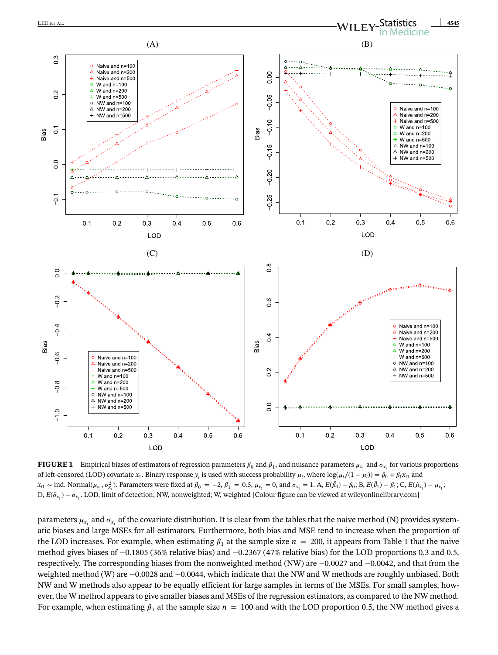

<span id="page-6-0"></span>**FIGURE 1** Empirical biases of estimators of regression parameters  $\beta_0$  and  $\beta_1$ , and nuisance parameters  $\mu_{x_1}$  and  $\sigma_{x_1}$  for various proportions of left-censored (LOD) covariate *x*<sub>1</sub>. Binary response *y<sub>i</sub>* is used with success probability  $\mu_i$ , where  $\log(\mu_i/(1 - \mu_i)) = \beta_0 + \beta_1 x_{i1}$  and  $x_{i1} \sim \text{ind. Normal}(\mu_{x_1}, \sigma_{x_1}^2)$ . Parameters were fixed at  $\beta_0 = -2$ ,  $\beta_1 = 0.5$ ,  $\mu_{x_1} = 0$ , and  $\sigma_{x_1} = 1$ . A,  $E(\hat{\beta}_0) - \beta_0$ ; B,  $E(\hat{\beta}_1) - \beta_1$ ; C,  $E(\hat{\mu}_{x_1}) - \mu_{x_1}$ ; D,  $E(\hat{\sigma}_{x_1}) - \sigma_{x_1}$ . LOD, limit of detection; NW, nonweighted; W, weighted [Colour figure can be viewed at [wileyonlinelibrary.com\]](http://wileyonlinelibrary.com)

parameters  $\mu_{x_1}$  and  $\sigma_{x_1}$  of the covariate distribution. It is clear from the tables that the naive method (N) provides systematic biases and large MSEs for all estimators. Furthermore, both bias and MSE tend to increase when the proportion of the LOD increases. For example, when estimating  $\beta_1$  at the sample size  $n = 200$ , it appears from Table [1](#page-7-0) that the naive method gives biases of −0*.*1805 (36% relative bias) and −0*.*2367 (47% relative bias) for the LOD proportions 0.3 and 0.5, respectively. The corresponding biases from the nonweighted method (NW) are −0*.*0027 and −0*.*0042, and that from the weighted method (W) are −0*.*0028 and −0*.*0044, which indicate that the NW and W methods are roughly unbiased. Both NW and W methods also appear to be equally efficient for large samples in terms of the MSEs. For small samples, however, the W method appears to give smaller biases and MSEs of the regression estimators, as compared to the NW method. For example, when estimating  $\beta_1$  at the sample size  $n = 100$  and with the LOD proportion 0.5, the NW method gives a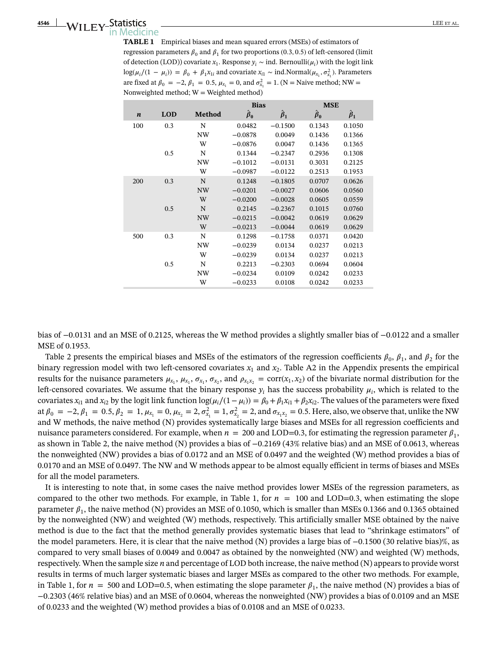<span id="page-7-0"></span>

|     | Nonweighted method; $W = Weighted method$ ) |            |             |                              |                              |                              |                              |  |  |  |  |  |
|-----|---------------------------------------------|------------|-------------|------------------------------|------------------------------|------------------------------|------------------------------|--|--|--|--|--|
|     |                                             |            |             | <b>Bias</b>                  |                              | <b>MSE</b>                   |                              |  |  |  |  |  |
|     | $\boldsymbol{n}$                            | <b>LOD</b> | Method      | $\hat{\boldsymbol{\beta}}_0$ | $\hat{\boldsymbol{\beta}}_1$ | $\hat{\boldsymbol{\beta}}_0$ | $\hat{\boldsymbol{\beta}}_1$ |  |  |  |  |  |
|     | 100                                         | 0.3        | N           | 0.0482                       | $-0.1500$                    | 0.1343                       | 0.1050                       |  |  |  |  |  |
|     |                                             |            | <b>NW</b>   | $-0.0878$                    | 0.0049                       | 0.1436                       | 0.1366                       |  |  |  |  |  |
|     |                                             |            | W           | $-0.0876$                    | 0.0047                       | 0.1436                       | 0.1365                       |  |  |  |  |  |
|     |                                             | 0.5        | N           | 0.1344                       | $-0.2347$                    | 0.2936                       | 0.1308                       |  |  |  |  |  |
|     |                                             |            | <b>NW</b>   | $-0.1012$                    | $-0.0131$                    | 0.3031                       | 0.2125                       |  |  |  |  |  |
|     |                                             |            | W           | $-0.0987$                    | $-0.0122$                    | 0.2513                       | 0.1953                       |  |  |  |  |  |
| 200 |                                             | 0.3        | N           | 0.1248                       | $-0.1805$                    | 0.0707                       | 0.0626                       |  |  |  |  |  |
|     |                                             |            | <b>NW</b>   | $-0.0201$                    | $-0.0027$                    | 0.0606                       | 0.0560                       |  |  |  |  |  |
|     |                                             |            | W           | $-0.0200$                    | $-0.0028$                    | 0.0605                       | 0.0559                       |  |  |  |  |  |
|     |                                             | 0.5        | $\mathbf N$ | 0.2145                       | $-0.2367$                    | 0.1015                       | 0.0760                       |  |  |  |  |  |
|     |                                             |            | <b>NW</b>   | $-0.0215$                    | $-0.0042$                    | 0.0619                       | 0.0629                       |  |  |  |  |  |
|     |                                             |            | W           | $-0.0213$                    | $-0.0044$                    | 0.0619                       | 0.0629                       |  |  |  |  |  |
|     | 500                                         | 0.3        | N           | 0.1298                       | $-0.1758$                    | 0.0371                       | 0.0420                       |  |  |  |  |  |
|     |                                             |            | <b>NW</b>   | $-0.0239$                    | 0.0134                       | 0.0237                       | 0.0213                       |  |  |  |  |  |
|     |                                             |            | W           | $-0.0239$                    | 0.0134                       | 0.0237                       | 0.0213                       |  |  |  |  |  |
|     |                                             | 0.5        | N           | 0.2213                       | $-0.2303$                    | 0.0694                       | 0.0604                       |  |  |  |  |  |
|     |                                             |            | NW          | $-0.0234$                    | 0.0109                       | 0.0242                       | 0.0233                       |  |  |  |  |  |
|     |                                             |            | W           | $-0.0233$                    | 0.0108                       | 0.0242                       | 0.0233                       |  |  |  |  |  |

bias of −0*.*0131 and an MSE of 0.2125, whereas the W method provides a slightly smaller bias of −0*.*0122 and a smaller MSE of 0.1953.

Table [2](#page-8-0) presents the empirical biases and MSEs of the estimators of the regression coefficients  $\beta_0$ ,  $\beta_1$ , and  $\beta_2$  for the binary regression model with two left-censored covariates  $x_1$  and  $x_2$ . Table [A2](#page-15-1) in the Appendix presents the empirical results for the nuisance parameters  $\mu_{x_1}, \mu_{x_1}, \sigma_{x_1}, \sigma_{x_2}$ , and  $\rho_{x_1x_2} = \text{corr}(x_1, x_2)$  of the bivariate normal distribution for the left-censored covariates. We assume that the binary response  $y_i$  has the success probability  $\mu_i$ , which is related to the covariates  $x_{i1}$  and  $x_{i2}$  by the logit link function  $\log(\mu_i/(1-\mu_i)) = \beta_0 + \beta_1 x_{i1} + \beta_2 x_{i2}$ . The values of the parameters were fixed at  $\beta_0 = -2$ ,  $\beta_1 = 0.5$ ,  $\beta_2 = 1$ ,  $\mu_{x_1} = 0$ ,  $\mu_{x_2} = 2$ ,  $\sigma_{x_1}^2 = 1$ ,  $\sigma_{x_2}^2 = 2$ , and  $\sigma_{x_1x_2} = 0.5$ . Here, also, we observe that, unlike the NW and W methods, the naive method (N) provides systematically large biases and MSEs for all regression coefficients and nuisance parameters considered. For example, when  $n = 200$  and LOD=0.3, for estimating the regression parameter  $\beta_1$ , as shown in Table [2,](#page-8-0) the naive method (N) provides a bias of −0*.*2169 (43% relative bias) and an MSE of 0.0613, whereas the nonweighted (NW) provides a bias of 0.0172 and an MSE of 0.0497 and the weighted (W) method provides a bias of 0.0170 and an MSE of 0.0497. The NW and W methods appear to be almost equally efficient in terms of biases and MSEs for all the model parameters.

It is interesting to note that, in some cases the naive method provides lower MSEs of the regression parameters, as compared to the other two methods. For example, in Table [1,](#page-7-0) for  $n = 100$  and LOD=0.3, when estimating the slope parameter  $\beta_1$ , the naive method (N) provides an MSE of 0.1050, which is smaller than MSEs 0.1366 and 0.1365 obtained by the nonweighted (NW) and weighted (W) methods, respectively. This artificially smaller MSE obtained by the naive method is due to the fact that the method generally provides systematic biases that lead to "shrinkage estimators" of the model parameters. Here, it is clear that the naive method (N) provides a large bias of −0*.*1500 (30 relative bias)%, as compared to very small biases of 0.0049 and 0.0047 as obtained by the nonweighted (NW) and weighted (W) methods, respectively. When the sample size *n* and percentage of LOD both increase, the naive method (N) appears to provide worst results in terms of much larger systematic biases and larger MSEs as compared to the other two methods. For example, in Table [1,](#page-7-0) for  $n = 500$  and LOD=0.5, when estimating the slope parameter  $\beta_1$ , the naive method (N) provides a bias of −0*.*2303 (46% relative bias) and an MSE of 0.0604, whereas the nonweighted (NW) provides a bias of 0.0109 and an MSE of 0.0233 and the weighted (W) method provides a bias of 0.0108 and an MSE of 0.0233.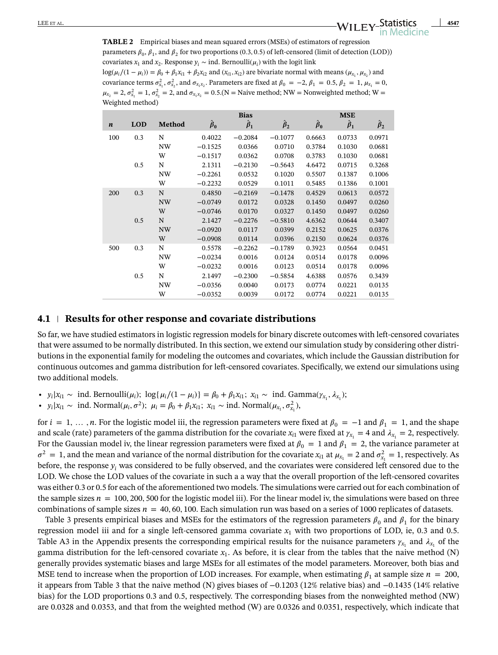## LEE ET AL. **4547**

<span id="page-8-0"></span>**TABLE 2** Empirical biases and mean squared errors (MSEs) of estimators of regression parameters  $\beta_0$ ,  $\beta_1$ , and  $\beta_2$  for two proportions (0.3, 0.5) of left-censored (limit of detection (LOD)) covariates *x*<sub>1</sub> and *x*<sub>2</sub>. Response *y*<sub>*i*</sub> ∼ ind. Bernoulli( $\mu$ <sub>*i*</sub>) with the logit link

 $\log(\mu_i/(1 - \mu_i)) = \beta_0 + \beta_1 x_{i1} + \beta_2 x_{i2}$  and  $(x_{i1}, x_{i2})$  are bivariate normal with means  $(\mu_x, \mu_x)$  and covariance terms  $\sigma_{x_1}^2$ ,  $\sigma_{x_2}^2$ , and  $\sigma_{x_1x_2}$ . Parameters are fixed at  $\beta_0 = -2$ ,  $\beta_1 = 0.5$ ,  $\beta_2 = 1$ ,  $\mu_{x_1} = 0$ ,  $\mu_{x_2} = 2$ ,  $\sigma_{x_1}^2 = 1$ ,  $\sigma_{x_2}^2 = 2$ , and  $\sigma_{x_1 x_2} = 0.5$ .(N = Naive method; NW = Nonweighted method; W = Weighted method)

|                  |            |               |                              | <b>Bias</b>                  |                              |                              | <b>MSE</b>                   |                              |
|------------------|------------|---------------|------------------------------|------------------------------|------------------------------|------------------------------|------------------------------|------------------------------|
| $\boldsymbol{n}$ | <b>LOD</b> | <b>Method</b> | $\hat{\boldsymbol{\beta}}_0$ | $\hat{\boldsymbol{\beta}}_1$ | $\hat{\boldsymbol{\beta}}_2$ | $\hat{\boldsymbol{\beta}}_0$ | $\hat{\boldsymbol{\beta}}_1$ | $\hat{\boldsymbol{\beta}}_2$ |
| 100              | 0.3        | N             | 0.4022                       | $-0.2084$                    | $-0.1077$                    | 0.6663                       | 0.0733                       | 0.0971                       |
|                  |            | <b>NW</b>     | $-0.1525$                    | 0.0366                       | 0.0710                       | 0.3784                       | 0.1030                       | 0.0681                       |
|                  |            | W             | $-0.1517$                    | 0.0362                       | 0.0708                       | 0.3783                       | 0.1030                       | 0.0681                       |
|                  | 0.5        | N             | 2.1311                       | $-0.2130$                    | $-0.5643$                    | 4.6472                       | 0.0715                       | 0.3268                       |
|                  |            | <b>NW</b>     | $-0.2261$                    | 0.0532                       | 0.1020                       | 0.5507                       | 0.1387                       | 0.1006                       |
|                  |            | W             | $-0.2232$                    | 0.0529                       | 0.1011                       | 0.5485                       | 0.1386                       | 0.1001                       |
| 200              | 0.3        | $\mathbf N$   | 0.4850                       | $-0.2169$                    | $-0.1478$                    | 0.4529                       | 0.0613                       | 0.0572                       |
|                  |            | <b>NW</b>     | $-0.0749$                    | 0.0172                       | 0.0328                       | 0.1450                       | 0.0497                       | 0.0260                       |
|                  |            | W             | $-0.0746$                    | 0.0170                       | 0.0327                       | 0.1450                       | 0.0497                       | 0.0260                       |
|                  | 0.5        | N             | 2.1427                       | $-0.2276$                    | $-0.5810$                    | 4.6362                       | 0.0644                       | 0.3407                       |
|                  |            | <b>NW</b>     | $-0.0920$                    | 0.0117                       | 0.0399                       | 0.2152                       | 0.0625                       | 0.0376                       |
|                  |            | W             | $-0.0908$                    | 0.0114                       | 0.0396                       | 0.2150                       | 0.0624                       | 0.0376                       |
| 500              | 0.3        | N             | 0.5578                       | $-0.2262$                    | $-0.1789$                    | 0.3923                       | 0.0564                       | 0.0451                       |
|                  |            | <b>NW</b>     | $-0.0234$                    | 0.0016                       | 0.0124                       | 0.0514                       | 0.0178                       | 0.0096                       |
|                  |            | W             | $-0.0232$                    | 0.0016                       | 0.0123                       | 0.0514                       | 0.0178                       | 0.0096                       |
|                  | 0.5        | N             | 2.1497                       | $-0.2300$                    | $-0.5854$                    | 4.6388                       | 0.0576                       | 0.3439                       |
|                  |            | <b>NW</b>     | $-0.0356$                    | 0.0040                       | 0.0173                       | 0.0774                       | 0.0221                       | 0.0135                       |
|                  |            | W             | $-0.0352$                    | 0.0039                       | 0.0172                       | 0.0774                       | 0.0221                       | 0.0135                       |

## **4.1 Results for other response and covariate distributions**

So far, we have studied estimators in logistic regression models for binary discrete outcomes with left-censored covariates that were assumed to be normally distributed. In this section, we extend our simulation study by considering other distributions in the exponential family for modeling the outcomes and covariates, which include the Gaussian distribution for continuous outcomes and gamma distribution for left-censored covariates. Specifically, we extend our simulations using two additional models.

- $y_i|x_{i1} \sim \text{ind. Bernoulli}(\mu_i); \ \log{\{\mu_i/(1 \mu_i)\}} = \beta_0 + \beta_1 x_{i1}; \ x_{i1} \sim \text{ind. Gamma}(\gamma_{x_i}, \lambda_{x_i});$
- $y_i|x_{i1} \sim \text{ind. Normal}(\mu_i, \sigma^2); \ \mu_i = \beta_0 + \beta_1 x_{i1}; \ x_{i1} \sim \text{ind. Normal}(\mu_{x_1}, \sigma_{x_1}^2)$

for  $i = 1, \ldots, n$ . For the logistic model iii, the regression parameters were fixed at  $\beta_0 = -1$  and  $\beta_1 = 1$ , and the shape and scale (rate) parameters of the gamma distribution for the covariate  $x_{i1}$  were fixed at  $\gamma_{x_1} = 4$  and  $\lambda_{x_1} = 2$ , respectively. For the Gaussian model iv, the linear regression parameters were fixed at  $\beta_0 = 1$  and  $\beta_1 = 2$ , the variance parameter at  $\sigma^2 = 1$ , and the mean and variance of the normal distribution for the covariate  $x_{i1}$  at  $\mu_{x_1} = 2$  and  $\sigma_{x_1}^2 = 1$ , respectively. As before, the response *yi* was considered to be fully observed, and the covariates were considered left censored due to the LOD. We chose the LOD values of the covariate in such a a way that the overall proportion of the left-censored covarites was either 0.3 or 0.5 for each of the aforementioned two models. The simulations were carried out for each combination of the sample sizes  $n = 100, 200, 500$  for the logistic model iii). For the linear model iv, the simulations were based on three combinations of sample sizes *n* = 40*,* 60*,* 100. Each simulation run was based on a series of 1000 replicates of datasets.

Table [3](#page-9-0) presents empirical biases and MSEs for the estimators of the regression parameters  $\beta_0$  and  $\beta_1$  for the binary regression model iii and for a single left-censored gamma covariate *x*<sup>1</sup> with two proportions of LOD, ie, 0.3 and 0.5. Table [A3](#page-16-0) in the Appendix presents the corresponding empirical results for the nuisance parameters  $\gamma_{x_1}$  and  $\lambda_{x_1}$  of the gamma distribution for the left-censored covariate  $x_1$ . As before, it is clear from the tables that the naive method  $(N)$ generally provides systematic biases and large MSEs for all estimates of the model parameters. Moreover, both bias and MSE tend to increase when the proportion of LOD increases. For example, when estimating  $\beta_1$  at sample size  $n = 200$ , it appears from Table [3](#page-9-0) that the naive method (N) gives biases of −0*.*1203 (12% relative bias) and −0*.*1435 (14% relative bias) for the LOD proportions 0.3 and 0.5, respectively. The corresponding biases from the nonweighted method (NW) are 0.0328 and 0.0353, and that from the weighted method (W) are 0.0326 and 0.0351, respectively, which indicate that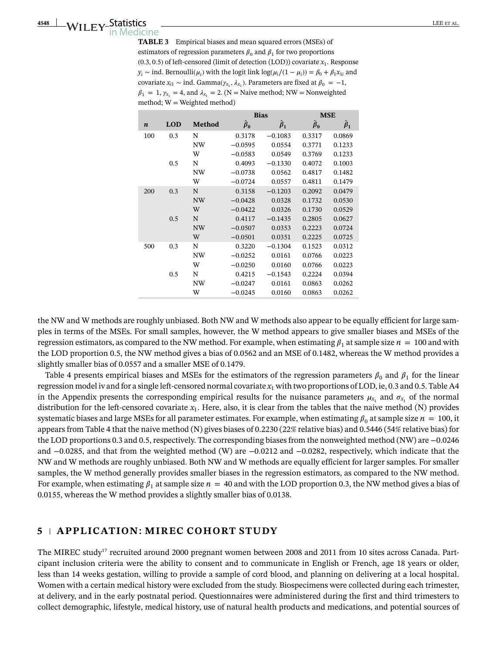<span id="page-9-0"></span>**TABLE 3** Empirical biases and mean squared errors (MSEs) of estimators of regression parameters  $\beta_0$  and  $\beta_1$  for two proportions  $(0.3, 0.5)$  of left-censored (limit of detection  $(LOD)$ ) covariate  $x_1$ . Response *y<sub>i</sub>* ~ ind. Bernoulli( $\mu$ <sub>*i*</sub>) with the logit link log( $\mu$ <sub>*i*</sub>/(1 −  $\mu$ <sub>*i*</sub>)) =  $\beta$ <sub>0</sub> +  $\beta$ <sub>1</sub>*x*<sub>1*i*</sub> and covariate  $x_{i1} \sim \text{ind. Gamma}(\gamma_{x_1}, \lambda_{x_1})$ . Parameters are fixed at  $\beta_0 = -1$ ,  $\beta_1 = 1$ ,  $\gamma_{x_1} = 4$ , and  $\lambda_{x_1} = 2$ . (N = Naive method; NW = Nonweighted method;  $W = Weighted method$ 

|                  |            |           |                              | <b>Bias</b>                  | <b>MSE</b>                   |                              |  |
|------------------|------------|-----------|------------------------------|------------------------------|------------------------------|------------------------------|--|
| $\boldsymbol{n}$ | <b>LOD</b> | Method    | $\hat{\boldsymbol{\beta}}_0$ | $\hat{\boldsymbol{\beta}}_1$ | $\hat{\boldsymbol{\beta}}_0$ | $\hat{\boldsymbol{\beta}}_1$ |  |
| 100              | 0.3        | N         | 0.3178                       | $-0.1083$                    | 0.3317                       | 0.0869                       |  |
|                  |            | NW        | $-0.0595$                    | 0.0554                       | 0.3771                       | 0.1233                       |  |
|                  |            | W         | $-0.0583$                    | 0.0549                       | 0.3769                       | 0.1233                       |  |
|                  | 0.5        | N         | 0.4093                       | $-0.1330$                    | 0.4072                       | 0.1003                       |  |
|                  |            | <b>NW</b> | $-0.0738$                    | 0.0562                       | 0.4817                       | 0.1482                       |  |
|                  |            | W         | $-0.0724$                    | 0.0557                       | 0.4811                       | 0.1479                       |  |
| 200              | 0.3        | N         | 0.3158                       | $-0.1203$                    | 0.2092                       | 0.0479                       |  |
|                  |            | <b>NW</b> | $-0.0428$                    | 0.0328                       | 0.1732                       | 0.0530                       |  |
|                  |            | W         | $-0.0422$                    | 0.0326                       | 0.1730                       | 0.0529                       |  |
|                  | 0.5        | N         | 0.4117                       | $-0.1435$                    | 0.2805                       | 0.0627                       |  |
|                  |            | <b>NW</b> | $-0.0507$                    | 0.0353                       | 0.2223                       | 0.0724                       |  |
|                  |            | W         | $-0.0501$                    | 0.0351                       | 0.2225                       | 0.0725                       |  |
| 500              | 0.3        | N         | 0.3220                       | $-0.1304$                    | 0.1523                       | 0.0312                       |  |
|                  |            | NW        | $-0.0252$                    | 0.0161                       | 0.0766                       | 0.0223                       |  |
|                  |            | W         | $-0.0250$                    | 0.0160                       | 0.0766                       | 0.0223                       |  |
|                  | 0.5        | N         | 0.4215                       | $-0.1543$                    | 0.2224                       | 0.0394                       |  |
|                  |            | NW        | $-0.0247$                    | 0.0161                       | 0.0863                       | 0.0262                       |  |
|                  |            | W         | $-0.0245$                    | 0.0160                       | 0.0863                       | 0.0262                       |  |

the NW and W methods are roughly unbiased. Both NW and W methods also appear to be equally efficient for large samples in terms of the MSEs. For small samples, however, the W method appears to give smaller biases and MSEs of the regression estimators, as compared to the NW method. For example, when estimating  $\beta_1$  at sample size  $n = 100$  and with the LOD proportion 0.5, the NW method gives a bias of 0.0562 and an MSE of 0.1482, whereas the W method provides a slightly smaller bias of 0.0557 and a smaller MSE of 0.1479.

Table [4](#page-10-0) presents empirical biases and MSEs for the estimators of the regression parameters  $\beta_0$  and  $\beta_1$  for the linear regression model iv and for a single left-censored normal covariate *x*<sup>1</sup> with two proportions of LOD, ie, 0.3 and 0.5. Table [A4](#page-16-1) in the Appendix presents the corresponding empirical results for the nuisance parameters  $\mu_{x_1}$  and  $\sigma_{x_1}$  of the normal distribution for the left-censored covariate  $x_1$ . Here, also, it is clear from the tables that the naive method (N) provides systematic biases and large MSEs for all parameter estimates. For example, when estimating  $\beta_0$  at sample size  $n = 100$ , it appears from Table [4](#page-10-0) that the naive method (N) gives biases of 0.2230 (22*%* relative bias) and 0.5446 (54*%* relative bias) for the LOD proportions 0.3 and 0.5, respectively. The corresponding biases from the nonweighted method (NW) are −0*.*0246 and −0*.*0285, and that from the weighted method (W) are −0*.*0212 and −0*.*0282, respectively, which indicate that the NW and W methods are roughly unbiased. Both NW and W methods are equally efficient for larger samples. For smaller samples, the W method generally provides smaller biases in the regression estimators, as compared to the NW method. For example, when estimating  $\beta_1$  at sample size  $n = 40$  and with the LOD proportion 0.3, the NW method gives a bias of 0.0155, whereas the W method provides a slightly smaller bias of 0.0138.

## **5 APPLICATION: MIREC COHORT STUDY**

The MIREC study<sup>17</sup> recruited around 2000 pregnant women between 2008 and 2011 from 10 sites across Canada. Partcipant inclusion criteria were the ability to consent and to communicate in English or French, age 18 years or older, less than 14 weeks gestation, willing to provide a sample of cord blood, and planning on delivering at a local hospital. Women with a certain medical history were excluded from the study. Biospecimens were collected during each trimester, at delivery, and in the early postnatal period. Questionnaires were administered during the first and third trimesters to collect demographic, lifestyle, medical history, use of natural health products and medications, and potential sources of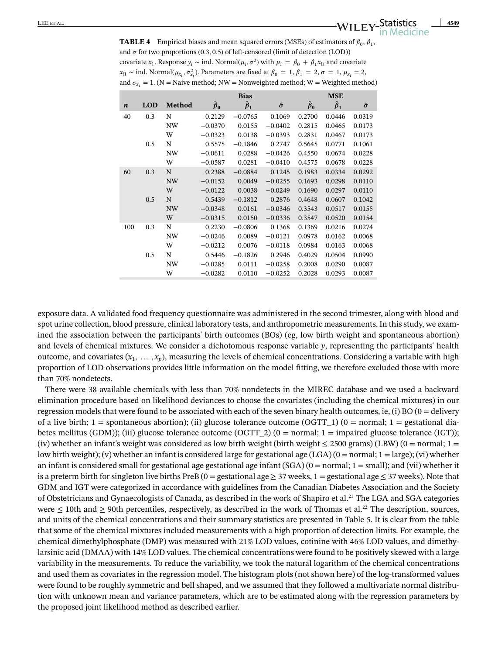<span id="page-10-0"></span>**TABLE 4** Empirical biases and mean squared errors (MSEs) of estimators of  $\beta_0$ ,  $\beta_1$ , and  $\sigma$  for two proportions (0.3, 0.5) of left-censored (limit of detection (LOD)) covariate *x*<sub>1</sub>. Response *y<sub>i</sub>* ~ ind. Normal( $\mu_i$ ,  $\sigma^2$ ) with  $\mu_i = \beta_0 + \beta_1 x_{1i}$  and covariate *x*<sub>i1</sub> ∼ ind. Normal( $\mu_{x_1}, \sigma_{x_1}^2$ ). Parameters are fixed at  $\beta_0 = 1$ ,  $\beta_1 = 2$ ,  $\sigma = 1$ ,  $\mu_{x_1} = 2$ , and  $\sigma_{x_1} = 1$ . (N = Naive method; NW = Nonweighted method; W = Weighted method)

|                  |            |               |                                  | <b>Bias</b>           |                |                              | <b>MSE</b>                   |                |
|------------------|------------|---------------|----------------------------------|-----------------------|----------------|------------------------------|------------------------------|----------------|
| $\boldsymbol{n}$ | <b>LOD</b> | <b>Method</b> | $\hat{\pmb{\beta}}_{\mathbf{0}}$ | $\hat{\pmb{\beta}}_1$ | $\hat{\sigma}$ | $\hat{\boldsymbol{\beta}}_0$ | $\hat{\boldsymbol{\beta}}_1$ | $\hat{\sigma}$ |
| 40               | 0.3        | N             | 0.2129                           | $-0.0765$             | 0.1069         | 0.2700                       | 0.0446                       | 0.0319         |
|                  |            | <b>NW</b>     | $-0.0370$                        | 0.0155                | $-0.0402$      | 0.2815                       | 0.0465                       | 0.0173         |
|                  |            | W             | $-0.0323$                        | 0.0138                | $-0.0393$      | 0.2831                       | 0.0467                       | 0.0173         |
|                  | 0.5        | N             | 0.5575                           | $-0.1846$             | 0.2747         | 0.5645                       | 0.0771                       | 0.1061         |
|                  |            | <b>NW</b>     | $-0.0611$                        | 0.0288                | $-0.0426$      | 0.4550                       | 0.0674                       | 0.0228         |
|                  |            | W             | $-0.0587$                        | 0.0281                | $-0.0410$      | 0.4575                       | 0.0678                       | 0.0228         |
| 60               | 0.3        | N             | 0.2388                           | $-0.0884$             | 0.1245         | 0.1983                       | 0.0334                       | 0.0292         |
|                  |            | <b>NW</b>     | $-0.0152$                        | 0.0049                | $-0.0255$      | 0.1693                       | 0.0298                       | 0.0110         |
|                  |            | W             | $-0.0122$                        | 0.0038                | $-0.0249$      | 0.1690                       | 0.0297                       | 0.0110         |
|                  | 0.5        | $\mathbf N$   | 0.5439                           | $-0.1812$             | 0.2876         | 0.4648                       | 0.0607                       | 0.1042         |
|                  |            | <b>NW</b>     | $-0.0348$                        | 0.0161                | $-0.0346$      | 0.3543                       | 0.0517                       | 0.0155         |
|                  |            | W             | $-0.0315$                        | 0.0150                | $-0.0336$      | 0.3547                       | 0.0520                       | 0.0154         |
| 100              | 0.3        | N             | 0.2230                           | $-0.0806$             | 0.1368         | 0.1369                       | 0.0216                       | 0.0274         |
|                  |            | <b>NW</b>     | $-0.0246$                        | 0.0089                | $-0.0121$      | 0.0978                       | 0.0162                       | 0.0068         |
|                  |            | W             | $-0.0212$                        | 0.0076                | $-0.0118$      | 0.0984                       | 0.0163                       | 0.0068         |
|                  | 0.5        | N             | 0.5446                           | $-0.1826$             | 0.2946         | 0.4029                       | 0.0504                       | 0.0990         |
|                  |            | <b>NW</b>     | $-0.0285$                        | 0.0111                | $-0.0258$      | 0.2008                       | 0.0290                       | 0.0087         |
|                  |            | W             | $-0.0282$                        | 0.0110                | $-0.0252$      | 0.2028                       | 0.0293                       | 0.0087         |

exposure data. A validated food frequency questionnaire was administered in the second trimester, along with blood and spot urine collection, blood pressure, clinical laboratory tests, and anthropometric measurements. In this study, we examined the association between the participants' birth outcomes (BOs) (eg, low birth weight and spontaneous abortion) and levels of chemical mixtures. We consider a dichotomous response variable *y*, representing the participants' health outcome, and covariates  $(x_1, \ldots, x_n)$ , measuring the levels of chemical concentrations. Considering a variable with high proportion of LOD observations provides little information on the model fitting, we therefore excluded those with more than 70% nondetects.

There were 38 available chemicals with less than 70% nondetects in the MIREC database and we used a backward elimination procedure based on likelihood deviances to choose the covariates (including the chemical mixtures) in our regression models that were found to be associated with each of the seven binary health outcomes, ie, (i) BO ( $0 =$  delivery of a live birth; 1 = spontaneous abortion); (ii) glucose tolerance outcome (OGTT\_1) (0 = normal; 1 = gestational diabetes mellitus (GDM)); (iii) glucose tolerance outcome (OGTT\_2) (0 = normal; 1 = impaired glucose tolerance (IGT)); (iv) whether an infant's weight was considered as low birth weight (birth weight  $\leq$  2500 grams) (LBW) (0 = normal; 1 = low birth weight); (v) whether an infant is considered large for gestational age  $(LGA)$  (0 = normal; 1 = large); (vi) whether an infant is considered small for gestational age gestational age infant  $(SGA)$  ( $0 = normal$ ; 1 = small); and (vii) whether it is a preterm birth for singleton live births PreB (0 = gestational age  $\geq$  37 weeks, 1 = gestational age  $\leq$  37 weeks). Note that GDM and IGT were categorized in accordance with guidelines from the Canadian Diabetes Association and the Society of Obstetricians and Gynaecologists of Canada, as described in the work of Shapiro et al[.21](#page-14-17) The LGA and SGA categories were  $\leq$  10th and  $\geq$  90th percentiles, respectively, as described in the work of Thomas et al.<sup>22</sup> The description, sources, and units of the chemical concentrations and their summary statistics are presented in Table [5.](#page-11-0) It is clear from the table that some of the chemical mixtures included measurements with a high proportion of detection limits. For example, the chemical dimethylphosphate (DMP) was measured with 21% LOD values, cotinine with 46% LOD values, and dimethylarsinic acid (DMAA) with 14% LOD values. The chemical concentrations were found to be positively skewed with a large variability in the measurements. To reduce the variability, we took the natural logarithm of the chemical concentrations and used them as covariates in the regression model. The histogram plots (not shown here) of the log-transformed values were found to be roughly symmetric and bell shaped, and we assumed that they followed a multivariate normal distribution with unknown mean and variance parameters, which are to be estimated along with the regression parameters by the proposed joint likelihood method as described earlier.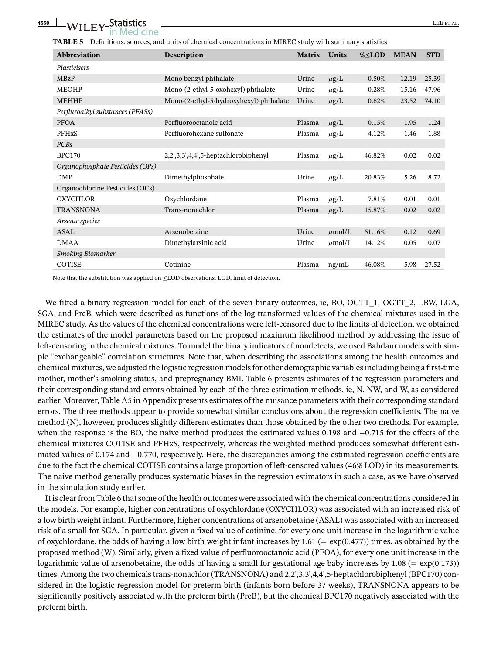## **4550 WILEY-Statistics CONSERVAL EXPRESSION CONSERVAL**

**TABLE 5** Definitions, sources, and units of chemical concentrations in MIREC study with summary statistics

<span id="page-11-0"></span>

| Abbreviation                     | Description                             | <b>Matrix</b> | Units       | $\%$ $\times$ LOD | <b>MEAN</b> | <b>STD</b> |
|----------------------------------|-----------------------------------------|---------------|-------------|-------------------|-------------|------------|
| Plasticisers                     |                                         |               |             |                   |             |            |
| MBzP                             | Mono benzyl phthalate                   | Urine         | $\mu$ g/L   | 0.50%             | 12.19       | 25.39      |
| <b>MEOHP</b>                     | Mono-(2-ethyl-5-oxohexyl) phthalate     | Urine         | $\mu$ g/L   | 0.28%             | 15.16       | 47.96      |
| <b>MEHHP</b>                     | Mono-(2-ethyl-5-hydroxyhexyl) phthalate | Urine         | $\mu$ g/L   | 0.62%             | 23.52       | 74.10      |
| Perfluroalkyl substances (PFASs) |                                         |               |             |                   |             |            |
| <b>PFOA</b>                      | Perfluorooctanoic acid                  | Plasma        | $\mu$ g/L   | 0.15%             | 1.95        | 1.24       |
| <b>PFHxS</b>                     | Perfluorohexane sulfonate               | Plasma        | $\mu$ g/L   | 4.12%             | 1.46        | 1.88       |
| PCBs                             |                                         |               |             |                   |             |            |
| <b>BPC170</b>                    | $2,2',3,3',4,4',5$ -heptachlorobiphenyl | Plasma        | $\mu$ g/L   | 46.82%            | 0.02        | 0.02       |
| Organophosphate Pesticides (OPs) |                                         |               |             |                   |             |            |
| <b>DMP</b>                       | Dimethylphosphate                       | Urine         | $\mu$ g/L   | 20.83%            | 5.26        | 8.72       |
| Organochlorine Pesticides (OCs)  |                                         |               |             |                   |             |            |
| <b>OXYCHLOR</b>                  | Oxychlordane                            | Plasma        | $\mu$ g/L   | 7.81%             | 0.01        | 0.01       |
| <b>TRANSNONA</b>                 | Trans-nonachlor                         | Plasma        | $\mu$ g/L   | 15.87%            | 0.02        | 0.02       |
| Arsenic species                  |                                         |               |             |                   |             |            |
| <b>ASAL</b>                      | Arsenobetaine                           | Urine         | $\mu$ mol/L | 51.16%            | 0.12        | 0.69       |
| <b>DMAA</b>                      | Dimethylarsinic acid                    | Urine         | $\mu$ mol/L | 14.12%            | 0.05        | 0.07       |
| Smoking Biomarker                |                                         |               |             |                   |             |            |
| <b>COTISE</b>                    | Cotinine                                | Plasma        | ng/mL       | 46.08%            | 5.98        | 27.52      |

Note that the substitution was applied on ≤LOD observations. LOD, limit of detection.

We fitted a binary regression model for each of the seven binary outcomes, ie, BO, OGTT\_1, OGTT\_2, LBW, LGA, SGA, and PreB, which were described as functions of the log-transformed values of the chemical mixtures used in the MIREC study. As the values of the chemical concentrations were left-censored due to the limits of detection, we obtained the estimates of the model parameters based on the proposed maximum likelihood method by addressing the issue of left-censoring in the chemical mixtures. To model the binary indicators of nondetects, we used Bahdaur models with simple "exchangeable" correlation structures. Note that, when describing the associations among the health outcomes and chemical mixtures, we adjusted the logistic regression models for other demographic variables including being a first-time mother, mother's smoking status, and prepregnancy BMI. Table [6](#page-12-0) presents estimates of the regression parameters and their corresponding standard errors obtained by each of the three estimation methods, ie, N, NW, and W, as considered earlier. Moreover, Table [A5](#page-17-0) in Appendix presents estimates of the nuisance parameters with their corresponding standard errors. The three methods appear to provide somewhat similar conclusions about the regression coefficients. The naive method (N), however, produces slightly different estimates than those obtained by the other two methods. For example, when the response is the BO, the naive method produces the estimated values 0.198 and −0*.*715 for the effects of the chemical mixtures COTISE and PFHxS, respectively, whereas the weighted method produces somewhat different estimated values of 0.174 and −0*.*770, respectively. Here, the discrepancies among the estimated regression coefficients are due to the fact the chemical COTISE contains a large proportion of left-censored values (46*%* LOD) in its measurements. The naive method generally produces systematic biases in the regression estimators in such a case, as we have observed in the simulation study earlier.

It is clear from Table [6](#page-12-0) that some of the health outcomes were associated with the chemical concentrations considered in the models. For example, higher concentrations of oxychlordane (OXYCHLOR) was associated with an increased risk of a low birth weight infant. Furthermore, higher concentrations of arsenobetaine (ASAL) was associated with an increased risk of a small for SGA. In particular, given a fixed value of cotinine, for every one unit increase in the logarithmic value of oxychlordane, the odds of having a low birth weight infant increases by 1.61 (= exp(0*.*477)) times, as obtained by the proposed method (W). Similarly, given a fixed value of perfluorooctanoic acid (PFOA), for every one unit increase in the logarithmic value of arsenobetaine, the odds of having a small for gestational age baby increases by 1.08 (= exp(0*.*173)) times. Among the two chemicals trans-nonachlor (TRANSNONA) and 2,2',3,3',4,4',5-heptachlorobiphenyl (BPC170) considered in the logistic regression model for preterm birth (infants born before 37 weeks), TRANSNONA appears to be significantly positively associated with the preterm birth (PreB), but the chemical BPC170 negatively associated with the preterm birth.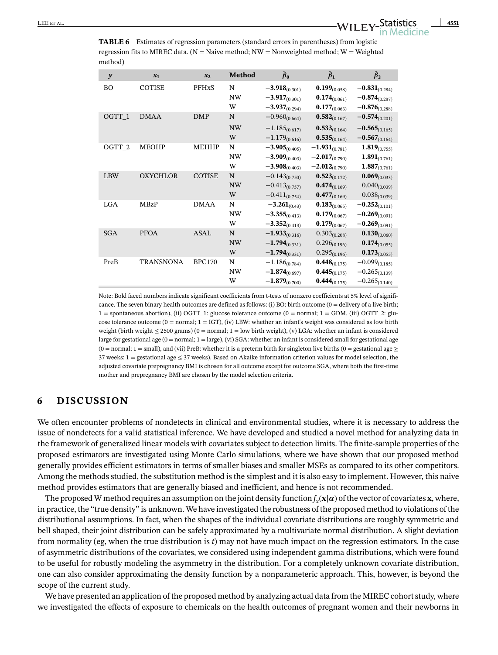## LEE ET AL. **4551**

<span id="page-12-0"></span>**TABLE 6** Estimates of regression parameters (standard errors in parentheses) from logistic regression fits to MIREC data. ( $N =$  Naive method;  $NW =$  Nonweighted method;  $W =$  Weighted method)

| $\mathbf{y}$ | $x_1$            | $\mathbf{x}_2$ | <b>Method</b> | $\hat{\boldsymbol{\beta}}_{\mathbf{0}}$ | $\hat{\boldsymbol{\beta}}_1$ | $\hat{\boldsymbol{\beta}}_2$ |
|--------------|------------------|----------------|---------------|-----------------------------------------|------------------------------|------------------------------|
| <b>BO</b>    | <b>COTISE</b>    | <b>PFHxS</b>   | N             | $-3.918_{(0.301)}$                      | $0.199_{(0.058)}$            | $-0.831_{(0.284)}$           |
|              |                  |                | <b>NW</b>     | $-3.917_{(0.301)}$                      | $0.174_{(0.061)}$            | $-0.874_{(0.287)}$           |
|              |                  |                | W             | $-3.937_{(0.294)}$                      | $0.177_{(0.063)}$            | $-0.876_{(0.288)}$           |
| OGTT_1       | <b>DMAA</b>      | <b>DMP</b>     | N             | $-0.960_{(0.664)}$                      | $0.582_{(0.167)}$            | $-0.574_{(0.201)}$           |
|              |                  |                | <b>NW</b>     | $-1.185_{(0.617)}$                      | $0.533_{(0.164)}$            | $-0.565_{(0.165)}$           |
|              |                  |                | W             | $-1.179_{(0.616)}$                      | $0.535_{(0.164)}$            | $-0.567_{(0.164)}$           |
| OGTT_2       | MEOHP            | <b>MEHHP</b>   | N             | $-3.905_{(0.405)}$                      | $-1.931_{(0.781)}$           | $1.819_{(0.755)}$            |
|              |                  |                | <b>NW</b>     | $-3.909_{(0.403)}$                      | $-2.017_{(0.790)}$           | $1.891_{(0.761)}$            |
|              |                  |                | W             | $-3.908_{(0.403)}$                      | $-2.012_{(0.790)}$           | $1.887_{(0.761)}$            |
| <b>LBW</b>   | <b>OXYCHLOR</b>  | <b>COTISE</b>  | N             | $-0.143_{(0.750)}$                      | $0.523_{(0.172)}$            | $0.069_{(0.033)}$            |
|              |                  |                | <b>NW</b>     | $-0.413_{(0.757)}$                      | $0.474_{(0.169)}$            | $0.040_{(0.039)}$            |
|              |                  |                | W             | $-0.411_{(0.754)}$                      | $0.477_{(0.169)}$            | $0.038_{(0.039)}$            |
| <b>LGA</b>   | MBzP             | <b>DMAA</b>    | N             | $-3.261_{(0.43)}$                       | $0.183_{(0.065)}$            | $-0.252_{(0.101)}$           |
|              |                  |                | <b>NW</b>     | $-3.355_{(0.413)}$                      | $0.179_{(0.067)}$            | $-0.269_{(0.091)}$           |
|              |                  |                | W             | $-3.352_{(0.413)}$                      | $0.179_{(0.067)}$            | $-0.269_{(0.091)}$           |
| <b>SGA</b>   | <b>PFOA</b>      | <b>ASAL</b>    | N             | $-1.933_{(0.316)}$                      | $0.303_{(0.208)}$            | $0.130_{(0.060)}$            |
|              |                  |                | <b>NW</b>     | $-1.794_{(0.331)}$                      | $0.296_{(0.196)}$            | $0.174_{(0.055)}$            |
|              |                  |                | W             | $-1.794_{(0.331)}$                      | $0.295_{(0.196)}$            | $0.173_{(0.055)}$            |
| PreB         | <b>TRANSNONA</b> | <b>BPC170</b>  | N             | $-1.186_{(0.784)}$                      | $0.448_{(0.175)}$            | $-0.099_{(0.185)}$           |
|              |                  |                | <b>NW</b>     | $-1.874_{(0.697)}$                      | $0.445_{(0.175)}$            | $-0.265_{(0.139)}$           |
|              |                  |                | W             | $-1.879_{(0.700)}$                      | $0.444_{(0.175)}$            | $-0.265_{(0.140)}$           |

Note: Bold faced numbers indicate significant coefficients from t-tests of nonzero coefficients at 5% level of significance. The seven binary health outcomes are defined as follows: (i) BO: birth outcome (0 = delivery of a live birth; 1 = spontaneous abortion), (ii) OGTT\_1: glucose tolerance outcome (0 = normal; 1 = GDM, (iii) OGTT\_2: glucose tolerance outcome ( $0 =$  normal;  $1 =$  IGT), (iv) LBW: whether an infant's weight was considered as low birth weight (birth weight  $\leq$  2500 grams) (0 = normal; 1 = low birth weight), (v) LGA: whether an infant is considered large for gestational age  $(0 = normal; 1 = large)$ , (vi) SGA: whether an infant is considered small for gestational age (0 = normal; 1 = small), and (vii) PreB: whether it is a preterm birth for singleton live births (0 = gestational age  $\geq$ 37 weeks; 1 = gestational age  $\leq$  37 weeks). Based on Akaike information criterion values for model selection, the adjusted covariate prepregnancy BMI is chosen for all outcome except for outcome SGA, where both the first-time mother and prepregnancy BMI are chosen by the model selection criteria.

## **6 DISCUSSION**

We often encounter problems of nondetects in clinical and environmental studies, where it is necessary to address the issue of nondetects for a valid statistical inference. We have developed and studied a novel method for analyzing data in the framework of generalized linear models with covariates subject to detection limits. The finite-sample properties of the proposed estimators are investigated using Monte Carlo simulations, where we have shown that our proposed method generally provides efficient estimators in terms of smaller biases and smaller MSEs as compared to its other competitors. Among the methods studied, the substitution method is the simplest and it is also easy to implement. However, this naive method provides estimators that are generally biased and inefficient, and hence is not recommended.

The proposed W method requires an assumption on the joint density function  $f_x(x|\alpha)$  of the vector of covariates **x**, where, in practice, the "true density" is unknown. We have investigated the robustness of the proposed method to violations of the distributional assumptions. In fact, when the shapes of the individual covariate distributions are roughly symmetric and bell shaped, their joint distribution can be safely approximated by a multivariate normal distribution. A slight deviation from normality (eg, when the true distribution is *t*) may not have much impact on the regression estimators. In the case of asymmetric distributions of the covariates, we considered using independent gamma distributions, which were found to be useful for robustly modeling the asymmetry in the distribution. For a completely unknown covariate distribution, one can also consider approximating the density function by a nonparameteric approach. This, however, is beyond the scope of the current study.

We have presented an application of the proposed method by analyzing actual data from the MIREC cohort study, where we investigated the effects of exposure to chemicals on the health outcomes of pregnant women and their newborns in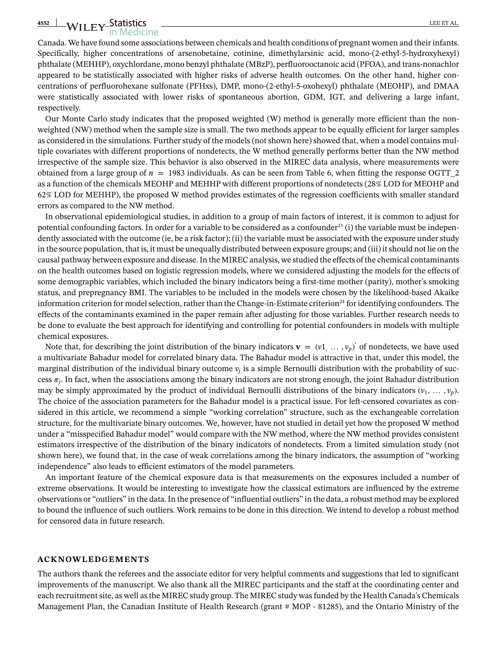## **4552 WILEY-Statistics LEE ET AL.**

Canada. We have found some associations between chemicals and health conditions of pregnant women and their infants. Specifically, higher concentrations of arsenobetaine, cotinine, dimethylarsinic acid, mono-(2-ethyl-5-hydroxyhexyl) phthalate (MEHHP), oxychlordane, mono benzyl phthalate (MBzP), perfluorooctanoic acid (PFOA), and trans-nonachlor appeared to be statistically associated with higher risks of adverse health outcomes. On the other hand, higher concentrations of perfluorohexane sulfonate (PFHxs), DMP, mono-(2-ethyl-5-oxohexyl) phthalate (MEOHP), and DMAA were statistically associated with lower risks of spontaneous abortion, GDM, IGT, and delivering a large infant, respectively.

Our Monte Carlo study indicates that the proposed weighted (W) method is generally more efficient than the nonweighted (NW) method when the sample size is small. The two methods appear to be equally efficient for larger samples as considered in the simulations. Further study of the models (not shown here) showed that, when a model contains multiple covariates with different proportions of nondetects, the W method generally performs better than the NW method irrespective of the sample size. This behavior is also observed in the MIREC data analysis, where measurements were obtained from a large group of  $n = 1983$  individuals. As can be seen from Table [6,](#page-12-0) when fitting the response OGTT\_2 as a function of the chemicals MEOHP and MEHHP with different proportions of nondetects (28*%* LOD for MEOHP and 62*%* LOD for MEHHP), the proposed W method provides estimates of the regression coefficients with smaller standard errors as compared to the NW method.

In observational epidemiological studies, in addition to a group of main factors of interest, it is common to adjust for potential confounding factors. In order for a variable to be considered as a confounder<sup>23</sup> (i) the variable must be independently associated with the outcome (ie, be a risk factor); (ii) the variable must be associated with the exposure under study in the source population, that is, it must be unequally distributed between exposure groups; and (iii) it should not lie on the causal pathway between exposure and disease. In the MIREC analysis, we studied the effects of the chemical contaminants on the health outcomes based on logistic regression models, where we considered adjusting the models for the effects of some demographic variables, which included the binary indicators being a first-time mother (parity), mother's smoking status, and prepregnancy BMI. The variables to be included in the models were chosen by the likelihood-based Akaike information criterion for model selection, rather than the Change-in-Estimate criterion<sup>24</sup> for identifying confounders. The effects of the contaminants examined in the paper remain after adjusting for those variables. Further research needs to be done to evaluate the best approach for identifying and controlling for potential confounders in models with multiple chemical exposures.

Note that, for describing the joint distribution of the binary indicators  $\mathbf{v} = (v_1, \dots, v_p)'$  of nondetects, we have used a multivariate Bahadur model for correlated binary data. The Bahadur model is attractive in that, under this model, the marginal distribution of the individual binary outcome  $v_i$  is a simple Bernoulli distribution with the probability of success  $\pi$ <sub>i</sub>. In fact, when the associations among the binary indicators are not strong enough, the joint Bahadur distribution may be simply approximated by the product of individual Bernoulli distributions of the binary indicators  $(v_1, \ldots, v_p)$ . The choice of the association parameters for the Bahadur model is a practical issue. For left-censored covariates as considered in this article, we recommend a simple "working correlation" structure, such as the exchangeable correlation structure, for the multivariate binary outcomes. We, however, have not studied in detail yet how the proposed W method under a "misspecified Bahadur model" would compare with the NW method, where the NW method provides consistent estimators irrespective of the distribution of the binary indicators of nondetects. From a limited simulation study (not shown here), we found that, in the case of weak correlations among the binary indicators, the assumption of "working independence" also leads to efficient estimators of the model parameters.

An important feature of the chemical exposure data is that measurements on the exposures included a number of extreme observations. It would be interesting to investigate how the classical estimators are influenced by the extreme observations or "outliers" in the data. In the presence of "influential outliers" in the data, a robust method may be explored to bound the influence of such outliers. Work remains to be done in this direction. We intend to develop a robust method for censored data in future research.

#### **ACKNOWLEDGEMENTS**

The authors thank the referees and the associate editor for very helpful comments and suggestions that led to significant improvements of the manuscript. We also thank all the MIREC participants and the staff at the coordinating center and each recruitment site, as well as the MIREC study group. The MIREC study was funded by the Health Canada's Chemicals Management Plan, the Canadian Institute of Health Research (grant # MOP - 81285), and the Ontario Ministry of the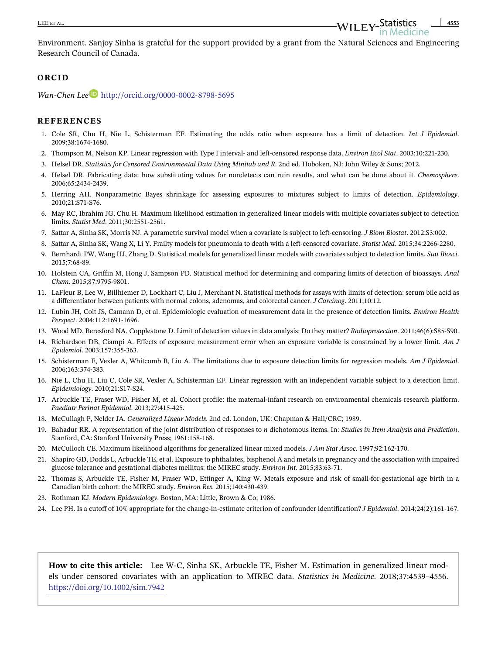LEE ET AL. **4553**

Environment. Sanjoy Sinha is grateful for the support provided by a grant from the Natural Sciences and Engineering Research Council of Canada.

## **ORCID**

*Wan-Chen Lee* <http://orcid.org/0000-0002-8798-5695>

## **REFERENCES**

- <span id="page-14-0"></span>1. Cole SR, Chu H, Nie L, Schisterman EF. Estimating the odds ratio when exposure has a limit of detection. *Int J Epidemiol*. 2009;38:1674-1680.
- <span id="page-14-2"></span><span id="page-14-1"></span>2. Thompson M, Nelson KP. Linear regression with Type I interval- and left-censored response data. *Environ Ecol Stat*. 2003;10:221-230.
- <span id="page-14-3"></span>3. Helsel DR. *Statistics for Censored Environmental Data Using Minitab and R*. 2nd ed. Hoboken, NJ: John Wiley & Sons; 2012.
- 4. Helsel DR. Fabricating data: how substituting values for nondetects can ruin results, and what can be done about it. *Chemosphere*. 2006;65:2434-2439.
- <span id="page-14-5"></span>5. Herring AH. Nonparametric Bayes shrinkage for assessing exposures to mixtures subject to limits of detection. *Epidemiology*. 2010;21:S71-S76.
- <span id="page-14-6"></span>6. May RC, Ibrahim JG, Chu H. Maximum likelihood estimation in generalized linear models with multiple covariates subject to detection limits. *Statist Med*. 2011;30:2551-2561.
- <span id="page-14-8"></span><span id="page-14-7"></span>7. Sattar A, Sinha SK, Morris NJ. A parametric survival model when a covariate is subject to left-censoring. *J Biom Biostat*. 2012;S3:002.
- <span id="page-14-9"></span>8. Sattar A, Sinha SK, Wang X, Li Y. Frailty models for pneumonia to death with a left-censored covariate. *Statist Med*. 2015;34:2266-2280.
- 9. Bernhardt PW, Wang HJ, Zhang D. Statistical models for generalized linear models with covariates subject to detection limits. *Stat Biosci*. 2015;7:68-89.
- 10. Holstein CA, Griffin M, Hong J, Sampson PD. Statistical method for determining and comparing limits of detection of bioassays. *Anal Chem*. 2015;87:9795-9801.
- 11. LaFleur B, Lee W, Billhiemer D, Lockhart C, Liu J, Merchant N. Statistical methods for assays with limits of detection: serum bile acid as a differentiator between patients with normal colons, adenomas, and colorectal cancer. *J Carcinog*. 2011;10:12.
- 12. Lubin JH, Colt JS, Camann D, et al. Epidemiologic evaluation of measurement data in the presence of detection limits. *Environ Health Perspect*. 2004;112:1691-1696.
- <span id="page-14-10"></span><span id="page-14-4"></span>13. Wood MD, Beresford NA, Copplestone D. Limit of detection values in data analysis: Do they matter? *Radioprotection*. 2011;46(6):S85-S90.
- 14. Richardson DB, Ciampi A. Effects of exposure measurement error when an exposure variable is constrained by a lower limit. *Am J Epidemiol*. 2003;157:355-363.
- <span id="page-14-11"></span>15. Schisterman E, Vexler A, Whitcomb B, Liu A. The limitations due to exposure detection limits for regression models. *Am J Epidemiol*. 2006;163:374-383.
- <span id="page-14-12"></span>16. Nie L, Chu H, Liu C, Cole SR, Vexler A, Schisterman EF. Linear regression with an independent variable subject to a detection limit. *Epidemiology*. 2010;21:S17-S24.
- <span id="page-14-13"></span>17. Arbuckle TE, Fraser WD, Fisher M, et al. Cohort profile: the maternal-infant research on environmental chemicals research platform. *Paediatr Perinat Epidemiol*. 2013;27:415-425.
- <span id="page-14-15"></span><span id="page-14-14"></span>18. McCullagh P, Nelder JA. *Generalized Linear Models*. 2nd ed. London, UK: Chapman & Hall/CRC; 1989.
- 19. Bahadur RR. A representation of the joint distribution of responses to *n* dichotomous items. In: *Studies in Item Analysis and Prediction*. Stanford, CA: Stanford University Press; 1961:158-168.
- <span id="page-14-17"></span><span id="page-14-16"></span>20. McCulloch CE. Maximum likelihood algorithms for generalized linear mixed models. *J Am Stat Assoc*. 1997;92:162-170.
- 21. Shapiro GD, Dodds L, Arbuckle TE, et al. Exposure to phthalates, bisphenol A and metals in pregnancy and the association with impaired glucose tolerance and gestational diabetes mellitus: the MIREC study. *Environ Int*. 2015;83:63-71.
- <span id="page-14-18"></span>22. Thomas S, Arbuckle TE, Fisher M, Fraser WD, Ettinger A, King W. Metals exposure and risk of small-for-gestational age birth in a Canadian birth cohort: the MIREC study. *Environ Res*. 2015;140:430-439.
- <span id="page-14-20"></span><span id="page-14-19"></span>23. Rothman KJ. *Modern Epidemiology*. Boston, MA: Little, Brown & Co; 1986.
- 24. Lee PH. Is a cutoff of 10% appropriate for the change-in-estimate criterion of confounder identification? *J Epidemiol*. 2014;24(2):161-167.

**How to cite this article:** Lee W-C, Sinha SK, Arbuckle TE, Fisher M. Estimation in generalized linear models under censored covariates with an application to MIREC data. *Statistics in Medicine*. 2018;37:4539–4556. <https://doi.org/10.1002/sim.7942>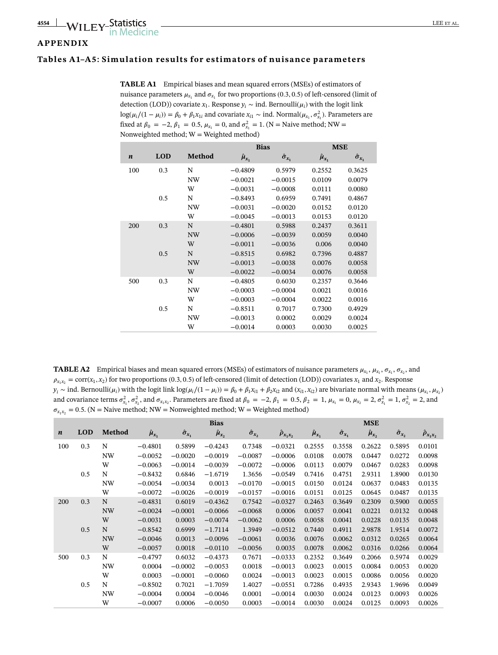## **APPENDIX**

## Tables A1-A5: Simulation results for estimators of nuisance parameters

<span id="page-15-0"></span>**TABLE A1** Empirical biases and mean squared errors (MSEs) of estimators of nuisance parameters  $\mu_{x_1}$  and  $\sigma_{x_1}$  for two proportions (0.3, 0.5) of left-censored (limit of detection (LOD)) covariate  $x_1$ . Response  $y_i \sim \text{ind. Bernoulli}(\mu_i)$  with the logit link  $log(\mu_i/(1 - \mu_i)) = \beta_0 + \beta_1 x_{1i}$  and covariate  $x_{i1} \sim \text{ind. Normal}(\mu_{x_1}, \sigma_{x_1}^2)$ . Parameters are fixed at  $\beta_0 = -2$ ,  $\beta_1 = 0.5$ ,  $\mu_{x_1} = 0$ , and  $\sigma_{x_1}^2 = 1$ . (N = Naive method; NW = Nonweighted method;  $W = Weighted method$ 

|                  |            |             | <b>Bias</b>       |                      | <b>MSE</b>        |                      |
|------------------|------------|-------------|-------------------|----------------------|-------------------|----------------------|
| $\boldsymbol{n}$ | <b>LOD</b> | Method      | $\hat{\mu}_{x_1}$ | $\hat{\sigma}_{x_1}$ | $\hat{\mu}_{x_1}$ | $\hat{\sigma}_{x_1}$ |
| 100              | 0.3        | N           | $-0.4809$         | 0.5979               | 0.2552            | 0.3625               |
|                  |            | <b>NW</b>   | $-0.0021$         | $-0.0015$            | 0.0109            | 0.0079               |
|                  |            | W           | $-0.0031$         | $-0.0008$            | 0.0111            | 0.0080               |
|                  | 0.5        | N           | $-0.8493$         | 0.6959               | 0.7491            | 0.4867               |
|                  |            | NW          | $-0.0031$         | $-0.0020$            | 0.0152            | 0.0120               |
|                  |            | W           | $-0.0045$         | $-0.0013$            | 0.0153            | 0.0120               |
| 200              | 0.3        | $\mathbf N$ | $-0.4801$         | 0.5988               | 0.2437            | 0.3611               |
|                  |            | <b>NW</b>   | $-0.0006$         | $-0.0039$            | 0.0059            | 0.0040               |
|                  |            | W           | $-0.0011$         | $-0.0036$            | 0.006             | 0.0040               |
|                  | 0.5        | N           | $-0.8515$         | 0.6982               | 0.7396            | 0.4887               |
|                  |            | <b>NW</b>   | $-0.0013$         | $-0.0038$            | 0.0076            | 0.0058               |
|                  |            | W           | $-0.0022$         | $-0.0034$            | 0.0076            | 0.0058               |
| 500              | 0.3        | N           | $-0.4805$         | 0.6030               | 0.2357            | 0.3646               |
|                  |            | NW          | $-0.0003$         | $-0.0004$            | 0.0021            | 0.0016               |
|                  |            | W           | $-0.0003$         | $-0.0004$            | 0.0022            | 0.0016               |
|                  | 0.5        | N           | $-0.8511$         | 0.7017               | 0.7300            | 0.4929               |
|                  |            | <b>NW</b>   | $-0.0013$         | 0.0002               | 0.0029            | 0.0024               |
|                  |            | W           | $-0.0014$         | 0.0003               | 0.0030            | 0.0025               |
|                  |            |             |                   |                      |                   |                      |

<span id="page-15-1"></span>**TABLE A2** Empirical biases and mean squared errors (MSEs) of estimators of nuisance parameters  $\mu_{x_1}, \mu_{x_2}, \sigma_{x_3}$ , and  $\rho_{x_1x_2} = \text{corr}(x_1, x_2)$  for two proportions (0.3, 0.5) of left-censored (limit of detection (LOD)) covariates  $x_1$  and  $x_2$ . Response *y*<sub>i</sub> ∼ ind. Bernoulli( $\mu$ <sub>i</sub>) with the logit link log( $\mu$ <sub>i</sub>/(1 −  $\mu$ <sub>i</sub>)) =  $\beta$ <sub>0</sub> +  $\beta$ <sub>1</sub>*x*<sub>i1</sub> +  $\beta$ <sub>2</sub>*x*<sub>i2</sub> and (*x*<sub>i1</sub>, *x*<sub>i2</sub>) are bivariate normal with means ( $\mu$ <sub>*x*<sub>1</sub></sub>,  $\mu$ <sub>*x*<sub>2</sub></sub>) and covariance terms  $\sigma_{x_1}^2$ ,  $\sigma_{x_2}^2$ , and  $\sigma_{x_1x_2}$ . Parameters are fixed at  $\beta_0 = -2$ ,  $\beta_1 = 0.5$ ,  $\beta_2 = 1$ ,  $\mu_{x_1} = 0$ ,  $\mu_{x_2} = 2$ ,  $\sigma_{x_1}^2 = 1$ ,  $\sigma_{x_2}^2 = 2$ , and  $\sigma_{x_1x_2} = 0.5$ . (N = Naive method; NW = Nonweighted method; W = Weighted method)

|                  |            |           |                   |                      | <b>Bias</b>                    |                      |                       |                                         |                      | <b>MSE</b>                     |                      |                       |
|------------------|------------|-----------|-------------------|----------------------|--------------------------------|----------------------|-----------------------|-----------------------------------------|----------------------|--------------------------------|----------------------|-----------------------|
| $\boldsymbol{n}$ | <b>LOD</b> | Method    | $\hat{\mu}_{x_1}$ | $\hat{\sigma}_{x_1}$ | $\hat{\boldsymbol{\mu}}_{x_2}$ | $\hat{\sigma}_{x_2}$ | $\hat{\rho}_{x_1x_2}$ | $\hat{\boldsymbol{\mu}}_{\mathbf{x}_1}$ | $\hat{\sigma}_{x_1}$ | $\hat{\boldsymbol{\mu}}_{x_2}$ | $\hat{\sigma}_{x_2}$ | $\hat{\rho}_{x_1x_2}$ |
| 100              | 0.3        | N         | $-0.4801$         | 0.5899               | $-0.4243$                      | 0.7348               | $-0.0321$             | 0.2555                                  | 0.3558               | 0.2622                         | 0.5895               | 0.0101                |
|                  |            | <b>NW</b> | $-0.0052$         | $-0.0020$            | $-0.0019$                      | $-0.0087$            | $-0.0006$             | 0.0108                                  | 0.0078               | 0.0447                         | 0.0272               | 0.0098                |
|                  |            | W         | $-0.0063$         | $-0.0014$            | $-0.0039$                      | $-0.0072$            | $-0.0006$             | 0.0113                                  | 0.0079               | 0.0467                         | 0.0283               | 0.0098                |
|                  | 0.5        | N         | $-0.8432$         | 0.6846               | $-1.6719$                      | 1.3656               | $-0.0549$             | 0.7416                                  | 0.4751               | 2.9311                         | 1.8900               | 0.0130                |
|                  |            | <b>NW</b> | $-0.0054$         | $-0.0034$            | 0.0013                         | $-0.0170$            | $-0.0015$             | 0.0150                                  | 0.0124               | 0.0637                         | 0.0483               | 0.0135                |
|                  |            | W         | $-0.0072$         | $-0.0026$            | $-0.0019$                      | $-0.0157$            | $-0.0016$             | 0.0151                                  | 0.0125               | 0.0645                         | 0.0487               | 0.0135                |
| 200              | 0.3        | N         | $-0.4831$         | 0.6019               | $-0.4362$                      | 0.7542               | $-0.0327$             | 0.2463                                  | 0.3649               | 0.2309                         | 0.5900               | 0.0055                |
|                  |            | <b>NW</b> | $-0.0024$         | $-0.0001$            | $-0.0066$                      | $-0.0068$            | 0.0006                | 0.0057                                  | 0.0041               | 0.0221                         | 0.0132               | 0.0048                |
|                  |            | W         | $-0.0031$         | 0.0003               | $-0.0074$                      | $-0.0062$            | 0.0006                | 0.0058                                  | 0.0041               | 0.0228                         | 0.0135               | 0.0048                |
|                  | 0.5        | N         | $-0.8542$         | 0.6999               | $-1.7114$                      | 1.3949               | $-0.0512$             | 0.7440                                  | 0.4911               | 2.9878                         | 1.9514               | 0.0072                |
|                  |            | <b>NW</b> | $-0.0046$         | 0.0013               | $-0.0096$                      | $-0.0061$            | 0.0036                | 0.0076                                  | 0.0062               | 0.0312                         | 0.0265               | 0.0064                |
|                  |            | W         | $-0.0057$         | 0.0018               | $-0.0110$                      | $-0.0056$            | 0.0035                | 0.0078                                  | 0.0062               | 0.0316                         | 0.0266               | 0.0064                |
| 500              | 0.3        | N         | $-0.4797$         | 0.6032               | $-0.4373$                      | 0.7671               | $-0.0333$             | 0.2352                                  | 0.3649               | 0.2066                         | 0.5974               | 0.0029                |
|                  |            | <b>NW</b> | 0.0004            | $-0.0002$            | $-0.0053$                      | 0.0018               | $-0.0013$             | 0.0023                                  | 0.0015               | 0.0084                         | 0.0053               | 0.0020                |
|                  |            | W         | 0.0003            | $-0.0001$            | $-0.0060$                      | 0.0024               | $-0.0013$             | 0.0023                                  | 0.0015               | 0.0086                         | 0.0056               | 0.0020                |
|                  | 0.5        | N         | $-0.8502$         | 0.7021               | $-1.7059$                      | 1.4027               | $-0.0551$             | 0.7286                                  | 0.4935               | 2.9343                         | 1.9696               | 0.0049                |
|                  |            | NW        | $-0.0004$         | 0.0004               | $-0.0046$                      | 0.0001               | $-0.0014$             | 0.0030                                  | 0.0024               | 0.0123                         | 0.0093               | 0.0026                |
|                  |            | W         | $-0.0007$         | 0.0006               | $-0.0050$                      | 0.0003               | $-0.0014$             | 0.0030                                  | 0.0024               | 0.0125                         | 0.0093               | 0.0026                |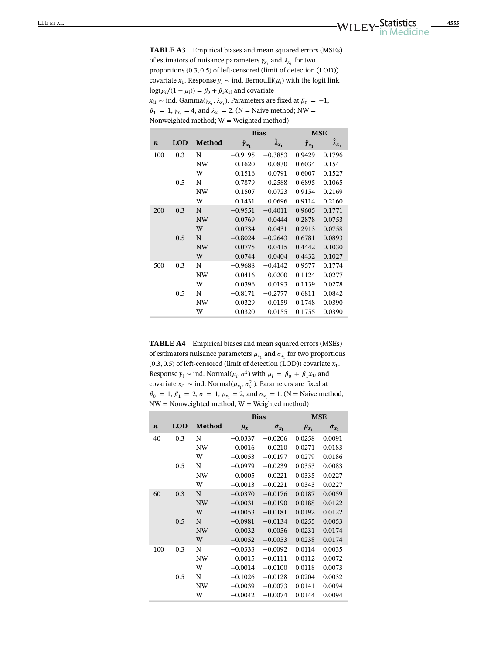<span id="page-16-0"></span>**TABLE A3** Empirical biases and mean squared errors (MSEs) of estimators of nuisance parameters  $\gamma_{x_1}$  and  $\lambda_{x_1}$  for two proportions (0*.*3*,* 0*.*5) of left-censored (limit of detection (LOD)) covariate *x*<sub>1</sub>. Response *y<sub>i</sub>* ∼ ind. Bernoulli( $\mu$ <sub>i</sub>) with the logit link  $log(\mu_i/(1 - \mu_i)) = \beta_0 + \beta_1 x_{1i}$  and covariate

*x*<sub>i1</sub> ∼ ind. Gamma( $\gamma_{x_1}$ ,  $\lambda_{x_1}$ ). Parameters are fixed at  $\beta_0 = -1$ ,  $\beta_1 = 1$ ,  $\gamma_{x_1} = 4$ , and  $\lambda_{x_1} = 2$ . (N = Naive method; NW = Nonweighted method; W = Weighted method)

|                  |            |           |                      | <b>Bias</b>           | <b>MSE</b>           |                       |  |
|------------------|------------|-----------|----------------------|-----------------------|----------------------|-----------------------|--|
| $\boldsymbol{n}$ | <b>LOD</b> | Method    | $\hat{\gamma}_{x_1}$ | $\hat{\lambda}_{x_1}$ | $\hat{\gamma}_{x_1}$ | $\hat{\lambda}_{x_1}$ |  |
| 100              | 0.3        | N         | $-0.9195$            | $-0.3853$             | 0.9429               | 0.1796                |  |
|                  |            | NW        | 0.1620               | 0.0830                | 0.6034               | 0.1541                |  |
|                  |            | W         | 0.1516               | 0.0791                | 0.6007               | 0.1527                |  |
|                  | 0.5        | N         | $-0.7879$            | $-0.2588$             | 0.6895               | 0.1065                |  |
|                  |            | NW        | 0.1507               | 0.0723                | 0.9154               | 0.2169                |  |
|                  |            | W         | 0.1431               | 0.0696                | 0.9114               | 0.2160                |  |
| 200              | 0.3        | N         | $-0.9551$            | $-0.4011$             | 0.9605               | 0.1771                |  |
|                  |            | <b>NW</b> | 0.0769               | 0.0444                | 0.2878               | 0.0753                |  |
|                  |            | W         | 0.0734               | 0.0431                | 0.2913               | 0.0758                |  |
|                  | 0.5        | N         | $-0.8024$            | $-0.2643$             | 0.6781               | 0.0893                |  |
|                  |            | <b>NW</b> | 0.0775               | 0.0415                | 0.4442               | 0.1030                |  |
|                  |            | W         | 0.0744               | 0.0404                | 0.4432               | 0.1027                |  |
| 500              | 0.3        | N         | $-0.9688$            | $-0.4142$             | 0.9577               | 0.1774                |  |
|                  |            | NW        | 0.0416               | 0.0200                | 0.1124               | 0.0277                |  |
|                  |            | W         | 0.0396               | 0.0193                | 0.1139               | 0.0278                |  |
|                  | 0.5        | N         | $-0.8171$            | $-0.2777$             | 0.6811               | 0.0842                |  |
|                  |            | NW        | 0.0329               | 0.0159                | 0.1748               | 0.0390                |  |
|                  |            | W         | 0.0320               | 0.0155                | 0.1755               | 0.0390                |  |

<span id="page-16-1"></span>**TABLE A4** Empirical biases and mean squared errors (MSEs) of estimators nuisance parameters  $\mu_{x_1}$  and  $\sigma_{x_1}$  for two proportions (0*.*3*,* 0*.*5) of left-censored (limit of detection (LOD)) covariate *x*1. Response  $y_i \sim \text{ind. Normal}(\mu_i, \sigma^2)$  with  $\mu_i = \beta_0 + \beta_1 x_{1i}$  and covariate  $x_{i1} \sim \text{ind. Normal}(\mu_{x_1}, \sigma_{x_1}^2)$ . Parameters are fixed at  $\beta_0 = 1, \beta_1 = 2, \sigma = 1, \mu_{x_1} = 2, \text{ and } \sigma_{x_1} = 1.$  (N = Naive method;  $NW = Nonweighted method; W = Weighted method)$ 

|                  |            |           |                   | <b>Bias</b>          | <b>MSE</b>        |                      |  |
|------------------|------------|-----------|-------------------|----------------------|-------------------|----------------------|--|
| $\boldsymbol{n}$ | <b>LOD</b> | Method    | $\hat{\mu}_{x_1}$ | $\hat{\sigma}_{x_1}$ | $\hat{\mu}_{x_1}$ | $\hat{\sigma}_{x_1}$ |  |
| 40               | 0.3        | N         | $-0.0337$         | $-0.0206$            | 0.0258            | 0.0091               |  |
|                  |            | NW        | $-0.0016$         | $-0.0210$            | 0.0271            | 0.0183               |  |
|                  |            | W         | $-0.0053$         | $-0.0197$            | 0.0279            | 0.0186               |  |
|                  | 0.5        | N         | $-0.0979$         | $-0.0239$            | 0.0353            | 0.0083               |  |
|                  |            | NW        | 0.0005            | $-0.0221$            | 0.0335            | 0.0227               |  |
|                  |            | W         | $-0.0013$         | $-0.0221$            | 0.0343            | 0.0227               |  |
| 60               | 0.3        | N         | $-0.0370$         | $-0.0176$            | 0.0187            | 0.0059               |  |
|                  |            | <b>NW</b> | $-0.0031$         | $-0.0190$            | 0.0188            | 0.0122               |  |
|                  |            | W         | $-0.0053$         | $-0.0181$            | 0.0192            | 0.0122               |  |
|                  | 0.5        | N         | $-0.0981$         | $-0.0134$            | 0.0255            | 0.0053               |  |
|                  |            | <b>NW</b> | $-0.0032$         | $-0.0056$            | 0.0231            | 0.0174               |  |
|                  |            | W         | $-0.0052$         | $-0.0053$            | 0.0238            | 0.0174               |  |
| 100              | 0.3        | N         | $-0.0333$         | $-0.0092$            | 0.0114            | 0.0035               |  |
|                  |            | NW        | 0.0015            | $-0.0111$            | 0.0112            | 0.0072               |  |
|                  |            | W         | $-0.0014$         | $-0.0100$            | 0.0118            | 0.0073               |  |
|                  | 0.5        | N         | $-0.1026$         | $-0.0128$            | 0.0204            | 0.0032               |  |
|                  |            | NW        | $-0.0039$         | $-0.0073$            | 0.0141            | 0.0094               |  |
|                  |            | W         | $-0.0042$         | $-0.0074$            | 0.0144            | 0.0094               |  |